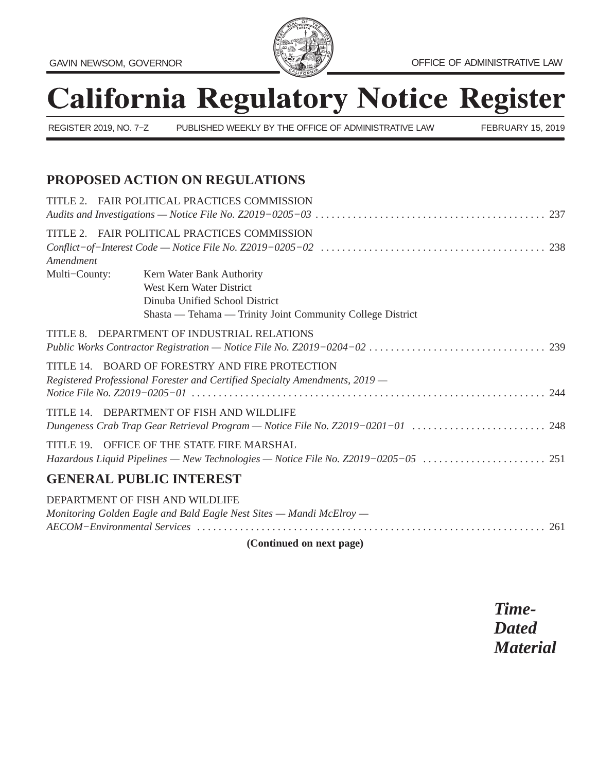

# **California Regulatory Notice Register**

REGISTER 2019, NO. 7−Z PUBLISHED WEEKLY BY THE OFFICE OF ADMINISTRATIVE LAW FEBRUARY 15, 2019

# **PROPOSED ACTION ON REGULATIONS**

| TITLE 2. FAIR POLITICAL PRACTICES COMMISSION                                                                                                          |  |
|-------------------------------------------------------------------------------------------------------------------------------------------------------|--|
| TITLE 2. FAIR POLITICAL PRACTICES COMMISSION                                                                                                          |  |
| Kern Water Bank Authority<br>West Kern Water District<br>Dinuba Unified School District<br>Shasta — Tehama — Trinity Joint Community College District |  |
| TITLE 8. DEPARTMENT OF INDUSTRIAL RELATIONS                                                                                                           |  |
| TITLE 14. BOARD OF FORESTRY AND FIRE PROTECTION<br>Registered Professional Forester and Certified Specialty Amendments, 2019 -                        |  |
| TITLE 14. DEPARTMENT OF FISH AND WILDLIFE                                                                                                             |  |
| TITLE 19. OFFICE OF THE STATE FIRE MARSHAL                                                                                                            |  |
| <b>GENERAL PUBLIC INTEREST</b>                                                                                                                        |  |
| DEPARTMENT OF FISH AND WILDLIFE<br>Monitoring Golden Eagle and Bald Eagle Nest Sites - Mandi McElroy -                                                |  |
|                                                                                                                                                       |  |

**(Continued on next page)**

*Time-Dated Material*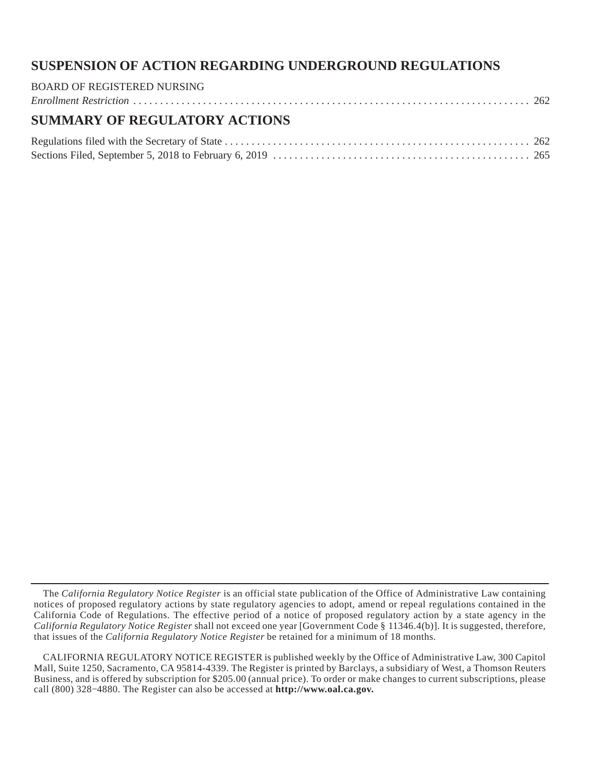# **SUSPENSION OF ACTION REGARDING UNDERGROUND REGULATIONS**

# BOARD OF REGISTERED NURSING *Enrollment Restriction* [..........................................................................](#page-27-0) 262 **SUMMARY OF REGULATORY ACTIONS**

The *California Regulatory Notice Register* is an official state publication of the Office of Administrative Law containing notices of proposed regulatory actions by state regulatory agencies to adopt, amend or repeal regulations contained in the California Code of Regulations. The effective period of a notice of proposed regulatory action by a state agency in the *California Regulatory Notice Register* shall not exceed one year [Government Code § 11346.4(b)]. It is suggested, therefore, that issues of the *California Regulatory Notice Register* be retained for a minimum of 18 months.

CALIFORNIA REGULATORY NOTICE REGISTER is published weekly by the Office of Administrative Law, 300 Capitol Mall, Suite 1250, Sacramento, CA 95814-4339. The Register is printed by Barclays, a subsidiary of West, a Thomson Reuters Business, and is offered by subscription for \$205.00 (annual price). To order or make changes to current subscriptions, please call (800) 328−4880. The Register can also be accessed at **http://www.oal.ca.gov.**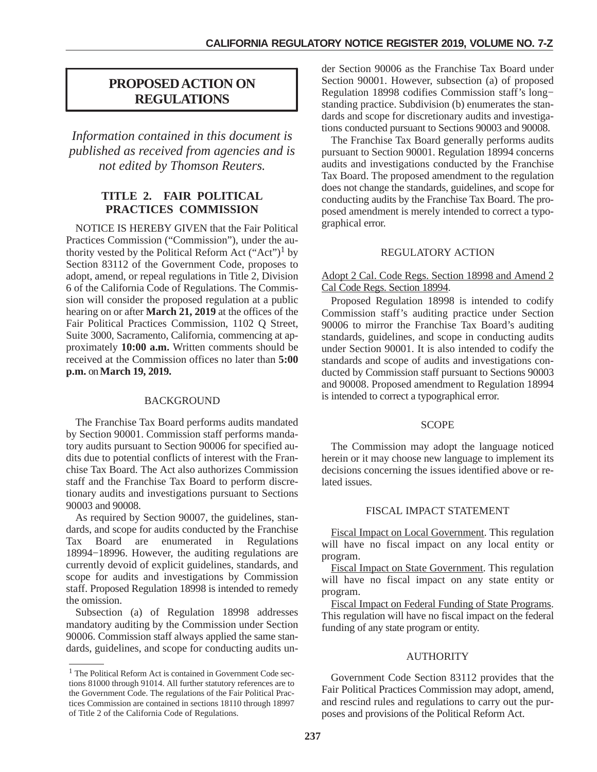# <span id="page-2-0"></span>**PROPOSED ACTION ON REGULATIONS**

*Information contained in this document is published as received from agencies and is not edited by Thomson Reuters.*

# **TITLE 2. FAIR POLITICAL PRACTICES COMMISSION**

NOTICE IS HEREBY GIVEN that the Fair Political Practices Commission ("Commission"), under the authority vested by the Political Reform Act ("Act")<sup>1</sup> by Section 83112 of the Government Code, proposes to adopt, amend, or repeal regulations in Title 2, Division 6 of the California Code of Regulations. The Commission will consider the proposed regulation at a public hearing on or after **March 21, 2019** at the offices of the Fair Political Practices Commission, 1102 Q Street, Suite 3000, Sacramento, California, commencing at approximately **10:00 a.m.** Written comments should be received at the Commission offices no later than **5:00 p.m.** on **March 19, 2019.**

#### BACKGROUND

The Franchise Tax Board performs audits mandated by Section 90001. Commission staff performs mandatory audits pursuant to Section 90006 for specified audits due to potential conflicts of interest with the Franchise Tax Board. The Act also authorizes Commission staff and the Franchise Tax Board to perform discretionary audits and investigations pursuant to Sections 90003 and 90008.

As required by Section 90007, the guidelines, standards, and scope for audits conducted by the Franchise<br>Tax Board are enumerated in Regulations Tax Board are enumerated in Regulations 18994−18996. However, the auditing regulations are currently devoid of explicit guidelines, standards, and scope for audits and investigations by Commission staff. Proposed Regulation 18998 is intended to remedy the omission.

Subsection (a) of Regulation 18998 addresses mandatory auditing by the Commission under Section 90006. Commission staff always applied the same standards, guidelines, and scope for conducting audits under Section 90006 as the Franchise Tax Board under Section 90001. However, subsection (a) of proposed Regulation 18998 codifies Commission staff's long− standing practice. Subdivision (b) enumerates the standards and scope for discretionary audits and investigations conducted pursuant to Sections 90003 and 90008.

The Franchise Tax Board generally performs audits pursuant to Section 90001. Regulation 18994 concerns audits and investigations conducted by the Franchise Tax Board. The proposed amendment to the regulation does not change the standards, guidelines, and scope for conducting audits by the Franchise Tax Board. The proposed amendment is merely intended to correct a typographical error.

### REGULATORY ACTION

#### Adopt 2 Cal. Code Regs. Section 18998 and Amend 2 Cal Code Regs. Section 18994.

Proposed Regulation 18998 is intended to codify Commission staff's auditing practice under Section 90006 to mirror the Franchise Tax Board's auditing standards, guidelines, and scope in conducting audits under Section 90001. It is also intended to codify the standards and scope of audits and investigations conducted by Commission staff pursuant to Sections 90003 and 90008. Proposed amendment to Regulation 18994 is intended to correct a typographical error.

#### **SCOPE**

The Commission may adopt the language noticed herein or it may choose new language to implement its decisions concerning the issues identified above or related issues.

#### FISCAL IMPACT STATEMENT

Fiscal Impact on Local Government. This regulation will have no fiscal impact on any local entity or program.

Fiscal Impact on State Government. This regulation will have no fiscal impact on any state entity or program.

Fiscal Impact on Federal Funding of State Programs. This regulation will have no fiscal impact on the federal funding of any state program or entity.

# **AUTHORITY**

Government Code Section 83112 provides that the Fair Political Practices Commission may adopt, amend, and rescind rules and regulations to carry out the purposes and provisions of the Political Reform Act.

<sup>1</sup> The Political Reform Act is contained in Government Code sections 81000 through 91014. All further statutory references are to the Government Code. The regulations of the Fair Political Practices Commission are contained in sections 18110 through 18997 of Title 2 of the California Code of Regulations.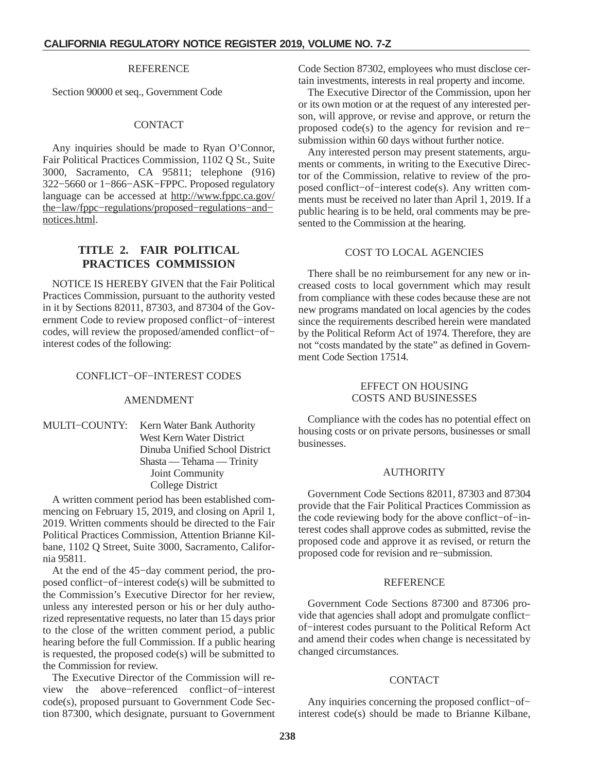#### **REFERENCE**

<span id="page-3-0"></span>Section 90000 et seq., Government Code

#### CONTACT

Any inquiries should be made to Ryan O'Connor, Fair Political Practices Commission, 1102 Q St., Suite 3000, Sacramento, CA 95811; telephone (916) 322−5660 or 1−866−ASK−FPPC. Proposed regulatory language can be accessed at http://www.fppc.ca.gov/ the−law/fppc−regulations/proposed−regulations−and− notices.html.

# **TITLE 2. FAIR POLITICAL PRACTICES COMMISSION**

NOTICE IS HEREBY GIVEN that the Fair Political Practices Commission, pursuant to the authority vested in it by Sections 82011, 87303, and 87304 of the Government Code to review proposed conflict−of−interest codes, will review the proposed/amended conflict−of− interest codes of the following:

#### CONFLICT−OF−INTEREST CODES

#### AMENDMENT

#### MULTI−COUNTY: Kern Water Bank Authority West Kern Water District Dinuba Unified School District Shasta — Tehama — Trinity Joint Community College District

A written comment period has been established commencing on February 15, 2019, and closing on April 1, 2019. Written comments should be directed to the Fair Political Practices Commission, Attention Brianne Kilbane, 1102 Q Street, Suite 3000, Sacramento, California 95811.

At the end of the 45−day comment period, the proposed conflict−of−interest code(s) will be submitted to the Commission's Executive Director for her review, unless any interested person or his or her duly authorized representative requests, no later than 15 days prior to the close of the written comment period, a public hearing before the full Commission. If a public hearing is requested, the proposed code(s) will be submitted to the Commission for review.

The Executive Director of the Commission will review the above−referenced conflict−of−interest code(s), proposed pursuant to Government Code Section 87300, which designate, pursuant to Government Code Section 87302, employees who must disclose certain investments, interests in real property and income.

The Executive Director of the Commission, upon her or its own motion or at the request of any interested person, will approve, or revise and approve, or return the proposed code(s) to the agency for revision and re− submission within 60 days without further notice.

Any interested person may present statements, arguments or comments, in writing to the Executive Director of the Commission, relative to review of the proposed conflict−of−interest code(s). Any written comments must be received no later than April 1, 2019. If a public hearing is to be held, oral comments may be presented to the Commission at the hearing.

#### COST TO LOCAL AGENCIES

There shall be no reimbursement for any new or increased costs to local government which may result from compliance with these codes because these are not new programs mandated on local agencies by the codes since the requirements described herein were mandated by the Political Reform Act of 1974. Therefore, they are not "costs mandated by the state" as defined in Government Code Section 17514.

#### EFFECT ON HOUSING COSTS AND BUSINESSES

Compliance with the codes has no potential effect on housing costs or on private persons, businesses or small businesses.

#### AUTHORITY

Government Code Sections 82011, 87303 and 87304 provide that the Fair Political Practices Commission as the code reviewing body for the above conflict−of−interest codes shall approve codes as submitted, revise the proposed code and approve it as revised, or return the proposed code for revision and re−submission.

#### **REFERENCE**

Government Code Sections 87300 and 87306 provide that agencies shall adopt and promulgate conflict− of−interest codes pursuant to the Political Reform Act and amend their codes when change is necessitated by changed circumstances.

#### **CONTACT**

Any inquiries concerning the proposed conflict−of− interest code(s) should be made to Brianne Kilbane,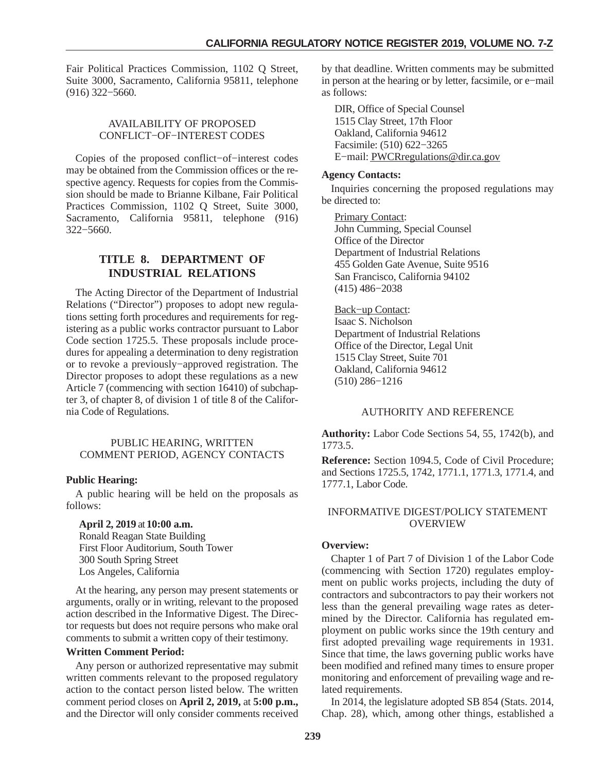<span id="page-4-0"></span>Fair Political Practices Commission, 1102 Q Street, Suite 3000, Sacramento, California 95811, telephone (916) 322−5660.

# AVAILABILITY OF PROPOSED CONFLICT−OF−INTEREST CODES

Copies of the proposed conflict−of−interest codes may be obtained from the Commission offices or the respective agency. Requests for copies from the Commission should be made to Brianne Kilbane, Fair Political Practices Commission, 1102 Q Street, Suite 3000, Sacramento, California 95811, telephone (916) 322−5660.

# **TITLE 8. DEPARTMENT OF INDUSTRIAL RELATIONS**

The Acting Director of the Department of Industrial Relations ("Director") proposes to adopt new regulations setting forth procedures and requirements for registering as a public works contractor pursuant to Labor Code section 1725.5. These proposals include procedures for appealing a determination to deny registration or to revoke a previously−approved registration. The Director proposes to adopt these regulations as a new Article 7 (commencing with section 16410) of subchapter 3, of chapter 8, of division 1 of title 8 of the California Code of Regulations.

#### PUBLIC HEARING, WRITTEN COMMENT PERIOD, AGENCY CONTACTS

# **Public Hearing:**

A public hearing will be held on the proposals as follows:

#### **April 2, 2019** at **10:00 a.m.**

Ronald Reagan State Building First Floor Auditorium, South Tower 300 South Spring Street Los Angeles, California

At the hearing, any person may present statements or arguments, orally or in writing, relevant to the proposed action described in the Informative Digest. The Director requests but does not require persons who make oral comments to submit a written copy of their testimony.

#### **Written Comment Period:**

Any person or authorized representative may submit written comments relevant to the proposed regulatory action to the contact person listed below. The written comment period closes on **April 2, 2019,** at **5:00 p.m.,** and the Director will only consider comments received

by that deadline. Written comments may be submitted in person at the hearing or by letter, facsimile, or e−mail as follows:

DIR, Office of Special Counsel 1515 Clay Street, 17th Floor Oakland, California 94612 Facsimile: (510) 622−3265 E−mail: PWCRregulations@dir.ca.gov

# **Agency Contacts:**

Inquiries concerning the proposed regulations may be directed to:

Primary Contact: John Cumming, Special Counsel Office of the Director Department of Industrial Relations 455 Golden Gate Avenue, Suite 9516 San Francisco, California 94102 (415) 486−2038

Back−up Contact: Isaac S. Nicholson Department of Industrial Relations Office of the Director, Legal Unit 1515 Clay Street, Suite 701 Oakland, California 94612 (510) 286−1216

# AUTHORITY AND REFERENCE

**Authority:** Labor Code Sections 54, 55, 1742(b), and 1773.5.

**Reference:** Section 1094.5, Code of Civil Procedure; and Sections 1725.5, 1742, 1771.1, 1771.3, 1771.4, and 1777.1, Labor Code.

# INFORMATIVE DIGEST/POLICY STATEMENT OVERVIEW

# **Overview:**

Chapter 1 of Part 7 of Division 1 of the Labor Code (commencing with Section 1720) regulates employment on public works projects, including the duty of contractors and subcontractors to pay their workers not less than the general prevailing wage rates as determined by the Director. California has regulated employment on public works since the 19th century and first adopted prevailing wage requirements in 1931. Since that time, the laws governing public works have been modified and refined many times to ensure proper monitoring and enforcement of prevailing wage and related requirements.

In 2014, the legislature adopted SB 854 (Stats. 2014, Chap. 28), which, among other things, established a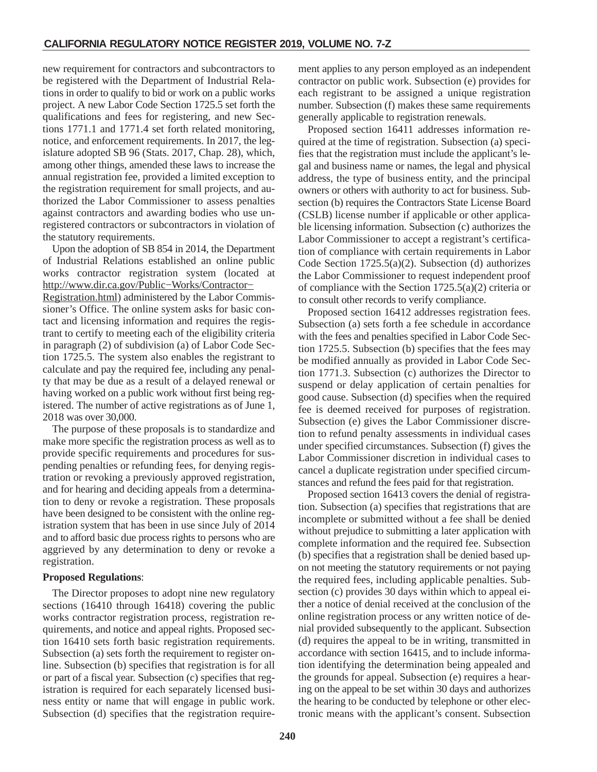new requirement for contractors and subcontractors to be registered with the Department of Industrial Relations in order to qualify to bid or work on a public works project. A new Labor Code Section 1725.5 set forth the qualifications and fees for registering, and new Sections 1771.1 and 1771.4 set forth related monitoring, notice, and enforcement requirements. In 2017, the legislature adopted SB 96 (Stats. 2017, Chap. 28), which, among other things, amended these laws to increase the annual registration fee, provided a limited exception to the registration requirement for small projects, and authorized the Labor Commissioner to assess penalties against contractors and awarding bodies who use unregistered contractors or subcontractors in violation of the statutory requirements.

Upon the adoption of SB 854 in 2014, the Department of Industrial Relations established an online public works contractor registration system (located at http://www.dir.ca.gov/Public−Works/Contractor−

Registration.html) administered by the Labor Commissioner's Office. The online system asks for basic contact and licensing information and requires the registrant to certify to meeting each of the eligibility criteria in paragraph (2) of subdivision (a) of Labor Code Section 1725.5. The system also enables the registrant to calculate and pay the required fee, including any penalty that may be due as a result of a delayed renewal or having worked on a public work without first being registered. The number of active registrations as of June 1, 2018 was over 30,000.

The purpose of these proposals is to standardize and make more specific the registration process as well as to provide specific requirements and procedures for suspending penalties or refunding fees, for denying registration or revoking a previously approved registration, and for hearing and deciding appeals from a determination to deny or revoke a registration. These proposals have been designed to be consistent with the online registration system that has been in use since July of 2014 and to afford basic due process rights to persons who are aggrieved by any determination to deny or revoke a registration.

# **Proposed Regulations**:

The Director proposes to adopt nine new regulatory sections (16410 through 16418) covering the public works contractor registration process, registration requirements, and notice and appeal rights. Proposed section 16410 sets forth basic registration requirements. Subsection (a) sets forth the requirement to register online. Subsection (b) specifies that registration is for all or part of a fiscal year. Subsection (c) specifies that registration is required for each separately licensed business entity or name that will engage in public work. Subsection (d) specifies that the registration requirement applies to any person employed as an independent contractor on public work. Subsection (e) provides for each registrant to be assigned a unique registration number. Subsection (f) makes these same requirements generally applicable to registration renewals.

Proposed section 16411 addresses information required at the time of registration. Subsection (a) specifies that the registration must include the applicant's legal and business name or names, the legal and physical address, the type of business entity, and the principal owners or others with authority to act for business. Subsection (b) requires the Contractors State License Board (CSLB) license number if applicable or other applicable licensing information. Subsection (c) authorizes the Labor Commissioner to accept a registrant's certification of compliance with certain requirements in Labor Code Section 1725.5(a)(2). Subsection (d) authorizes the Labor Commissioner to request independent proof of compliance with the Section 1725.5(a)(2) criteria or to consult other records to verify compliance.

Proposed section 16412 addresses registration fees. Subsection (a) sets forth a fee schedule in accordance with the fees and penalties specified in Labor Code Section 1725.5. Subsection (b) specifies that the fees may be modified annually as provided in Labor Code Section 1771.3. Subsection (c) authorizes the Director to suspend or delay application of certain penalties for good cause. Subsection (d) specifies when the required fee is deemed received for purposes of registration. Subsection (e) gives the Labor Commissioner discretion to refund penalty assessments in individual cases under specified circumstances. Subsection (f) gives the Labor Commissioner discretion in individual cases to cancel a duplicate registration under specified circumstances and refund the fees paid for that registration.

Proposed section 16413 covers the denial of registration. Subsection (a) specifies that registrations that are incomplete or submitted without a fee shall be denied without prejudice to submitting a later application with complete information and the required fee. Subsection (b) specifies that a registration shall be denied based upon not meeting the statutory requirements or not paying the required fees, including applicable penalties. Subsection (c) provides 30 days within which to appeal either a notice of denial received at the conclusion of the online registration process or any written notice of denial provided subsequently to the applicant. Subsection (d) requires the appeal to be in writing, transmitted in accordance with section 16415, and to include information identifying the determination being appealed and the grounds for appeal. Subsection (e) requires a hearing on the appeal to be set within 30 days and authorizes the hearing to be conducted by telephone or other electronic means with the applicant's consent. Subsection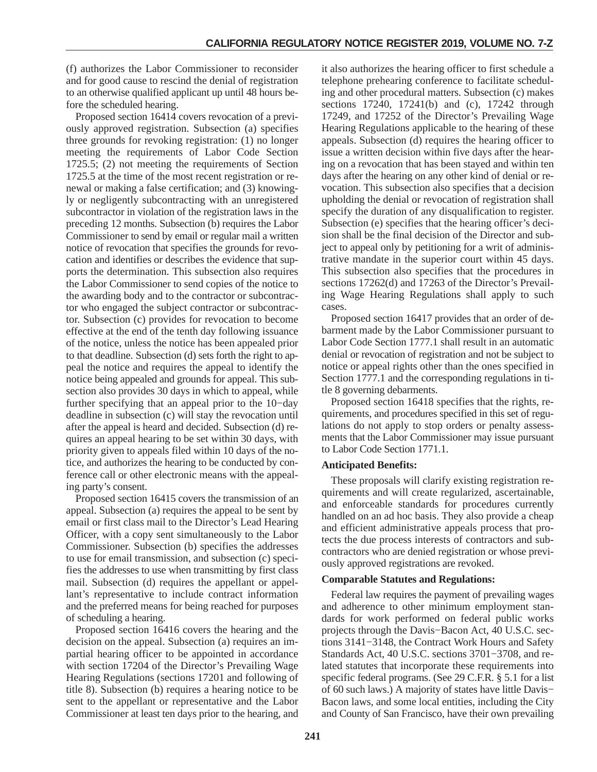(f) authorizes the Labor Commissioner to reconsider and for good cause to rescind the denial of registration to an otherwise qualified applicant up until 48 hours before the scheduled hearing.

Proposed section 16414 covers revocation of a previously approved registration. Subsection (a) specifies three grounds for revoking registration: (1) no longer meeting the requirements of Labor Code Section 1725.5; (2) not meeting the requirements of Section 1725.5 at the time of the most recent registration or renewal or making a false certification; and (3) knowingly or negligently subcontracting with an unregistered subcontractor in violation of the registration laws in the preceding 12 months. Subsection (b) requires the Labor Commissioner to send by email or regular mail a written notice of revocation that specifies the grounds for revocation and identifies or describes the evidence that supports the determination. This subsection also requires the Labor Commissioner to send copies of the notice to the awarding body and to the contractor or subcontractor who engaged the subject contractor or subcontractor. Subsection (c) provides for revocation to become effective at the end of the tenth day following issuance of the notice, unless the notice has been appealed prior to that deadline. Subsection (d) sets forth the right to appeal the notice and requires the appeal to identify the notice being appealed and grounds for appeal. This subsection also provides 30 days in which to appeal, while further specifying that an appeal prior to the 10−day deadline in subsection (c) will stay the revocation until after the appeal is heard and decided. Subsection (d) requires an appeal hearing to be set within 30 days, with priority given to appeals filed within 10 days of the notice, and authorizes the hearing to be conducted by conference call or other electronic means with the appealing party's consent.

Proposed section 16415 covers the transmission of an appeal. Subsection (a) requires the appeal to be sent by email or first class mail to the Director's Lead Hearing Officer, with a copy sent simultaneously to the Labor Commissioner. Subsection (b) specifies the addresses to use for email transmission, and subsection (c) specifies the addresses to use when transmitting by first class mail. Subsection (d) requires the appellant or appellant's representative to include contract information and the preferred means for being reached for purposes of scheduling a hearing.

Proposed section 16416 covers the hearing and the decision on the appeal. Subsection (a) requires an impartial hearing officer to be appointed in accordance with section 17204 of the Director's Prevailing Wage Hearing Regulations (sections 17201 and following of title 8). Subsection (b) requires a hearing notice to be sent to the appellant or representative and the Labor Commissioner at least ten days prior to the hearing, and

it also authorizes the hearing officer to first schedule a telephone prehearing conference to facilitate scheduling and other procedural matters. Subsection (c) makes sections 17240, 17241(b) and (c), 17242 through 17249, and 17252 of the Director's Prevailing Wage Hearing Regulations applicable to the hearing of these appeals. Subsection (d) requires the hearing officer to issue a written decision within five days after the hearing on a revocation that has been stayed and within ten days after the hearing on any other kind of denial or revocation. This subsection also specifies that a decision upholding the denial or revocation of registration shall specify the duration of any disqualification to register. Subsection (e) specifies that the hearing officer's decision shall be the final decision of the Director and subject to appeal only by petitioning for a writ of administrative mandate in the superior court within 45 days. This subsection also specifies that the procedures in sections 17262(d) and 17263 of the Director's Prevailing Wage Hearing Regulations shall apply to such cases.

Proposed section 16417 provides that an order of debarment made by the Labor Commissioner pursuant to Labor Code Section 1777.1 shall result in an automatic denial or revocation of registration and not be subject to notice or appeal rights other than the ones specified in Section 1777.1 and the corresponding regulations in title 8 governing debarments.

Proposed section 16418 specifies that the rights, requirements, and procedures specified in this set of regulations do not apply to stop orders or penalty assessments that the Labor Commissioner may issue pursuant to Labor Code Section 1771.1.

# **Anticipated Benefits:**

These proposals will clarify existing registration requirements and will create regularized, ascertainable, and enforceable standards for procedures currently handled on an ad hoc basis. They also provide a cheap and efficient administrative appeals process that protects the due process interests of contractors and subcontractors who are denied registration or whose previously approved registrations are revoked.

#### **Comparable Statutes and Regulations:**

Federal law requires the payment of prevailing wages and adherence to other minimum employment standards for work performed on federal public works projects through the Davis−Bacon Act, 40 U.S.C. sections 3141−3148, the Contract Work Hours and Safety Standards Act, 40 U.S.C. sections 3701−3708, and related statutes that incorporate these requirements into specific federal programs. (See 29 C.F.R. § 5.1 for a list of 60 such laws.) A majority of states have little Davis− Bacon laws, and some local entities, including the City and County of San Francisco, have their own prevailing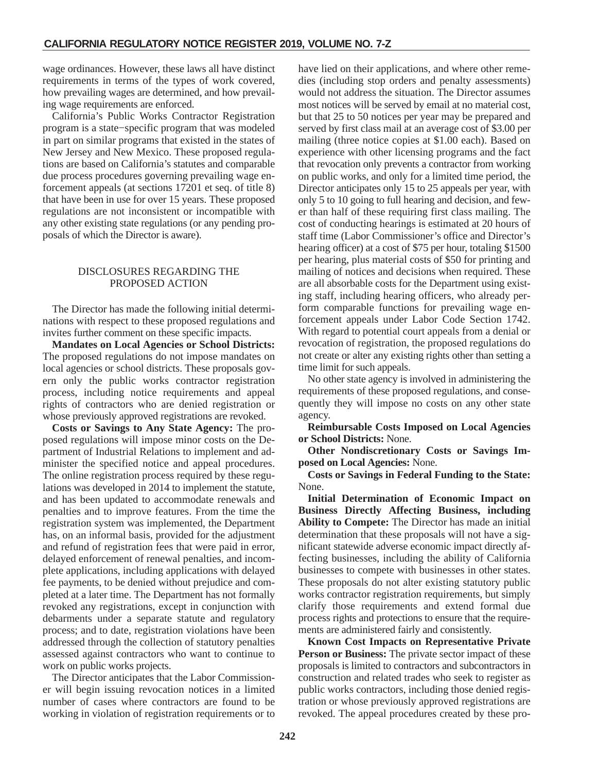wage ordinances. However, these laws all have distinct requirements in terms of the types of work covered, how prevailing wages are determined, and how prevailing wage requirements are enforced.

California's Public Works Contractor Registration program is a state−specific program that was modeled in part on similar programs that existed in the states of New Jersey and New Mexico. These proposed regulations are based on California's statutes and comparable due process procedures governing prevailing wage enforcement appeals (at sections 17201 et seq. of title 8) that have been in use for over 15 years. These proposed regulations are not inconsistent or incompatible with any other existing state regulations (or any pending proposals of which the Director is aware).

# DISCLOSURES REGARDING THE PROPOSED ACTION

The Director has made the following initial determinations with respect to these proposed regulations and invites further comment on these specific impacts.

**Mandates on Local Agencies or School Districts:** The proposed regulations do not impose mandates on local agencies or school districts. These proposals govern only the public works contractor registration process, including notice requirements and appeal rights of contractors who are denied registration or whose previously approved registrations are revoked.

**Costs or Savings to Any State Agency:** The proposed regulations will impose minor costs on the Department of Industrial Relations to implement and administer the specified notice and appeal procedures. The online registration process required by these regulations was developed in 2014 to implement the statute, and has been updated to accommodate renewals and penalties and to improve features. From the time the registration system was implemented, the Department has, on an informal basis, provided for the adjustment and refund of registration fees that were paid in error, delayed enforcement of renewal penalties, and incomplete applications, including applications with delayed fee payments, to be denied without prejudice and completed at a later time. The Department has not formally revoked any registrations, except in conjunction with debarments under a separate statute and regulatory process; and to date, registration violations have been addressed through the collection of statutory penalties assessed against contractors who want to continue to work on public works projects.

The Director anticipates that the Labor Commissioner will begin issuing revocation notices in a limited number of cases where contractors are found to be working in violation of registration requirements or to have lied on their applications, and where other remedies (including stop orders and penalty assessments) would not address the situation. The Director assumes most notices will be served by email at no material cost, but that 25 to 50 notices per year may be prepared and served by first class mail at an average cost of \$3.00 per mailing (three notice copies at \$1.00 each). Based on experience with other licensing programs and the fact that revocation only prevents a contractor from working on public works, and only for a limited time period, the Director anticipates only 15 to 25 appeals per year, with only 5 to 10 going to full hearing and decision, and fewer than half of these requiring first class mailing. The cost of conducting hearings is estimated at 20 hours of staff time (Labor Commissioner's office and Director's hearing officer) at a cost of \$75 per hour, totaling \$1500 per hearing, plus material costs of \$50 for printing and mailing of notices and decisions when required. These are all absorbable costs for the Department using existing staff, including hearing officers, who already perform comparable functions for prevailing wage enforcement appeals under Labor Code Section 1742. With regard to potential court appeals from a denial or revocation of registration, the proposed regulations do not create or alter any existing rights other than setting a time limit for such appeals.

No other state agency is involved in administering the requirements of these proposed regulations, and consequently they will impose no costs on any other state agency.

**Reimbursable Costs Imposed on Local Agencies or School Districts:** None.

**Other Nondiscretionary Costs or Savings Imposed on Local Agencies:** None.

**Costs or Savings in Federal Funding to the State:** None.

**Initial Determination of Economic Impact on Business Directly Affecting Business, including Ability to Compete:** The Director has made an initial determination that these proposals will not have a significant statewide adverse economic impact directly affecting businesses, including the ability of California businesses to compete with businesses in other states. These proposals do not alter existing statutory public works contractor registration requirements, but simply clarify those requirements and extend formal due process rights and protections to ensure that the requirements are administered fairly and consistently.

**Known Cost Impacts on Representative Private Person or Business:** The private sector impact of these proposals is limited to contractors and subcontractors in construction and related trades who seek to register as public works contractors, including those denied registration or whose previously approved registrations are revoked. The appeal procedures created by these pro-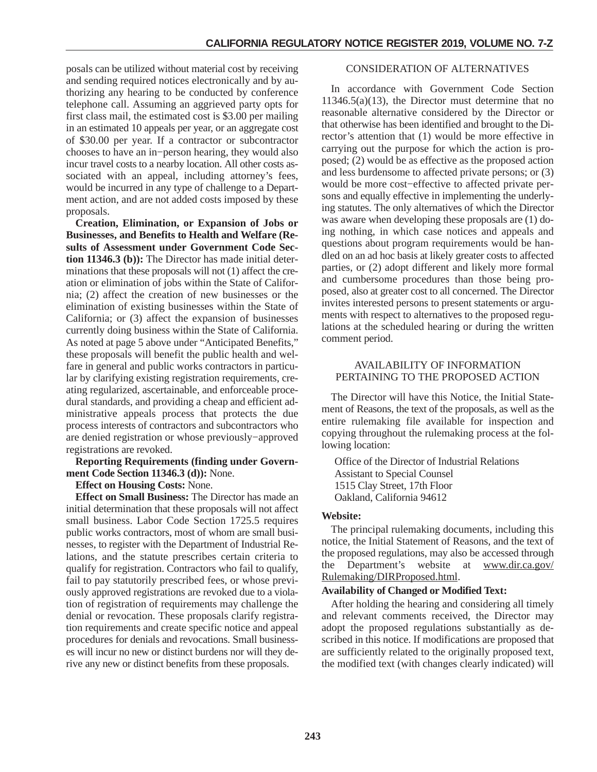posals can be utilized without material cost by receiving and sending required notices electronically and by authorizing any hearing to be conducted by conference telephone call. Assuming an aggrieved party opts for first class mail, the estimated cost is \$3.00 per mailing in an estimated 10 appeals per year, or an aggregate cost of \$30.00 per year. If a contractor or subcontractor chooses to have an in−person hearing, they would also incur travel costs to a nearby location. All other costs associated with an appeal, including attorney's fees, would be incurred in any type of challenge to a Department action, and are not added costs imposed by these proposals.

**Creation, Elimination, or Expansion of Jobs or Businesses, and Benefits to Health and Welfare (Results of Assessment under Government Code Section 11346.3 (b)):** The Director has made initial determinations that these proposals will not (1) affect the creation or elimination of jobs within the State of California; (2) affect the creation of new businesses or the elimination of existing businesses within the State of California; or (3) affect the expansion of businesses currently doing business within the State of California. As noted at page 5 above under "Anticipated Benefits," these proposals will benefit the public health and welfare in general and public works contractors in particular by clarifying existing registration requirements, creating regularized, ascertainable, and enforceable procedural standards, and providing a cheap and efficient administrative appeals process that protects the due process interests of contractors and subcontractors who are denied registration or whose previously−approved registrations are revoked.

**Reporting Requirements (finding under Government Code Section 11346.3 (d)):** None.

#### **Effect on Housing Costs:** None.

**Effect on Small Business:** The Director has made an initial determination that these proposals will not affect small business. Labor Code Section 1725.5 requires public works contractors, most of whom are small businesses, to register with the Department of Industrial Relations, and the statute prescribes certain criteria to qualify for registration. Contractors who fail to qualify, fail to pay statutorily prescribed fees, or whose previously approved registrations are revoked due to a violation of registration of requirements may challenge the denial or revocation. These proposals clarify registration requirements and create specific notice and appeal procedures for denials and revocations. Small businesses will incur no new or distinct burdens nor will they derive any new or distinct benefits from these proposals.

#### CONSIDERATION OF ALTERNATIVES

In accordance with Government Code Section  $11346.5(a)(13)$ , the Director must determine that no reasonable alternative considered by the Director or that otherwise has been identified and brought to the Director's attention that (1) would be more effective in carrying out the purpose for which the action is proposed; (2) would be as effective as the proposed action and less burdensome to affected private persons; or (3) would be more cost−effective to affected private persons and equally effective in implementing the underlying statutes. The only alternatives of which the Director was aware when developing these proposals are (1) doing nothing, in which case notices and appeals and questions about program requirements would be handled on an ad hoc basis at likely greater costs to affected parties, or (2) adopt different and likely more formal and cumbersome procedures than those being proposed, also at greater cost to all concerned. The Director invites interested persons to present statements or arguments with respect to alternatives to the proposed regulations at the scheduled hearing or during the written comment period.

# AVAILABILITY OF INFORMATION PERTAINING TO THE PROPOSED ACTION

The Director will have this Notice, the Initial Statement of Reasons, the text of the proposals, as well as the entire rulemaking file available for inspection and copying throughout the rulemaking process at the following location:

Office of the Director of Industrial Relations Assistant to Special Counsel 1515 Clay Street, 17th Floor Oakland, California 94612

#### **Website:**

The principal rulemaking documents, including this notice, the Initial Statement of Reasons, and the text of the proposed regulations, may also be accessed through the Department's website at www.dir.ca.gov/ Rulemaking/DIRProposed.html.

#### **Availability of Changed or Modified Text:**

After holding the hearing and considering all timely and relevant comments received, the Director may adopt the proposed regulations substantially as described in this notice. If modifications are proposed that are sufficiently related to the originally proposed text, the modified text (with changes clearly indicated) will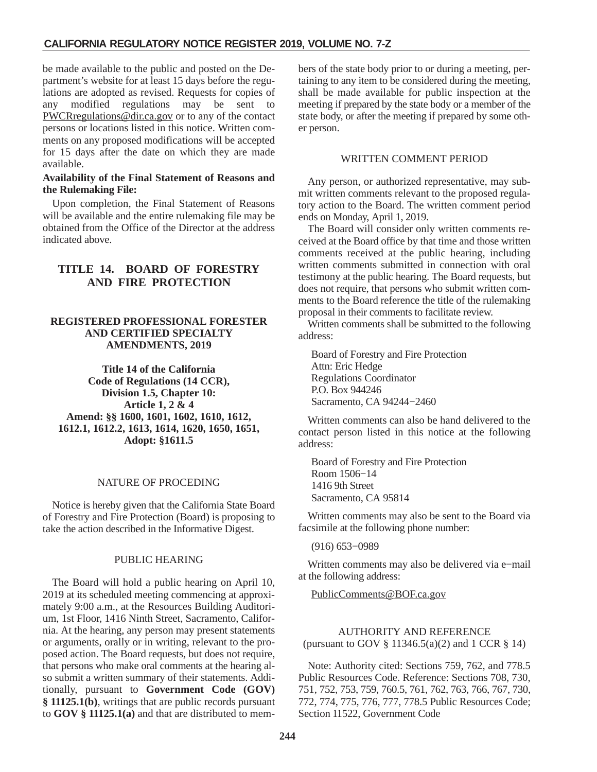<span id="page-9-0"></span>be made available to the public and posted on the Department's website for at least 15 days before the regulations are adopted as revised. Requests for copies of any modified regulations may be sent to PWCRregulations@dir.ca.gov or to any of the contact persons or locations listed in this notice. Written comments on any proposed modifications will be accepted for 15 days after the date on which they are made available.

#### **Availability of the Final Statement of Reasons and the Rulemaking File:**

Upon completion, the Final Statement of Reasons will be available and the entire rulemaking file may be obtained from the Office of the Director at the address indicated above.

# **TITLE 14. BOARD OF FORESTRY AND FIRE PROTECTION**

#### **REGISTERED PROFESSIONAL FORESTER AND CERTIFIED SPECIALTY AMENDMENTS, 2019**

**Title 14 of the California Code of Regulations (14 CCR), Division 1.5, Chapter 10: Article 1, 2 & 4 Amend: §§ 1600, 1601, 1602, 1610, 1612, 1612.1, 1612.2, 1613, 1614, 1620, 1650, 1651, Adopt: §1611.5**

# NATURE OF PROCEDING

Notice is hereby given that the California State Board of Forestry and Fire Protection (Board) is proposing to take the action described in the Informative Digest.

#### PUBLIC HEARING

The Board will hold a public hearing on April 10, 2019 at its scheduled meeting commencing at approximately 9:00 a.m., at the Resources Building Auditorium, 1st Floor, 1416 Ninth Street, Sacramento, California. At the hearing, any person may present statements or arguments, orally or in writing, relevant to the proposed action. The Board requests, but does not require, that persons who make oral comments at the hearing also submit a written summary of their statements. Additionally, pursuant to **Government Code (GOV) § 11125.1(b)**, writings that are public records pursuant to **GOV § 11125.1(a)** and that are distributed to members of the state body prior to or during a meeting, pertaining to any item to be considered during the meeting, shall be made available for public inspection at the meeting if prepared by the state body or a member of the state body, or after the meeting if prepared by some other person.

### WRITTEN COMMENT PERIOD

Any person, or authorized representative, may submit written comments relevant to the proposed regulatory action to the Board. The written comment period ends on Monday, April 1, 2019.

The Board will consider only written comments received at the Board office by that time and those written comments received at the public hearing, including written comments submitted in connection with oral testimony at the public hearing. The Board requests, but does not require, that persons who submit written comments to the Board reference the title of the rulemaking proposal in their comments to facilitate review.

Written comments shall be submitted to the following address:

Board of Forestry and Fire Protection Attn: Eric Hedge Regulations Coordinator P.O. Box 944246 Sacramento, CA 94244−2460

Written comments can also be hand delivered to the contact person listed in this notice at the following address:

Board of Forestry and Fire Protection Room 1506−14 1416 9th Street Sacramento, CA 95814

Written comments may also be sent to the Board via facsimile at the following phone number:

(916) 653−0989

Written comments may also be delivered via e−mail at the following address:

PublicComments@BOF.ca.gov

# AUTHORITY AND REFERENCE (pursuant to GOV § 11346.5(a)(2) and 1 CCR § 14)

Note: Authority cited: Sections 759, 762, and 778.5 Public Resources Code. Reference: Sections 708, 730, 751, 752, 753, 759, 760.5, 761, 762, 763, 766, 767, 730, 772, 774, 775, 776, 777, 778.5 Public Resources Code; Section 11522, Government Code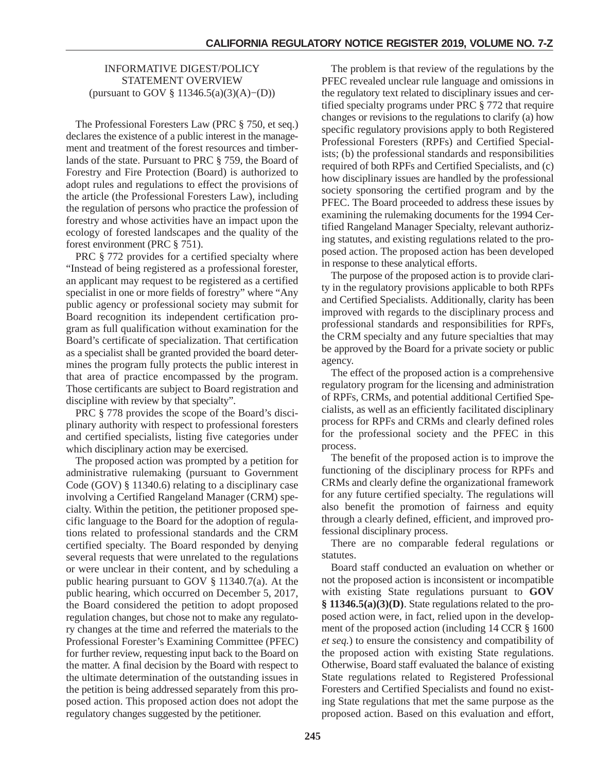# INFORMATIVE DIGEST/POLICY STATEMENT OVERVIEW (pursuant to GOV § 11346.5(a)(3)(A)−(D))

The Professional Foresters Law (PRC § 750, et seq.) declares the existence of a public interest in the management and treatment of the forest resources and timberlands of the state. Pursuant to PRC § 759, the Board of Forestry and Fire Protection (Board) is authorized to adopt rules and regulations to effect the provisions of the article (the Professional Foresters Law), including the regulation of persons who practice the profession of forestry and whose activities have an impact upon the ecology of forested landscapes and the quality of the forest environment (PRC § 751).

PRC § 772 provides for a certified specialty where "Instead of being registered as a professional forester, an applicant may request to be registered as a certified specialist in one or more fields of forestry" where "Any public agency or professional society may submit for Board recognition its independent certification program as full qualification without examination for the Board's certificate of specialization. That certification as a specialist shall be granted provided the board determines the program fully protects the public interest in that area of practice encompassed by the program. Those certificants are subject to Board registration and discipline with review by that specialty".

PRC § 778 provides the scope of the Board's disciplinary authority with respect to professional foresters and certified specialists, listing five categories under which disciplinary action may be exercised.

The proposed action was prompted by a petition for administrative rulemaking (pursuant to Government Code (GOV) § 11340.6) relating to a disciplinary case involving a Certified Rangeland Manager (CRM) specialty. Within the petition, the petitioner proposed specific language to the Board for the adoption of regulations related to professional standards and the CRM certified specialty. The Board responded by denying several requests that were unrelated to the regulations or were unclear in their content, and by scheduling a public hearing pursuant to GOV § 11340.7(a). At the public hearing, which occurred on December 5, 2017, the Board considered the petition to adopt proposed regulation changes, but chose not to make any regulatory changes at the time and referred the materials to the Professional Forester's Examining Committee (PFEC) for further review, requesting input back to the Board on the matter. A final decision by the Board with respect to the ultimate determination of the outstanding issues in the petition is being addressed separately from this proposed action. This proposed action does not adopt the regulatory changes suggested by the petitioner.

The problem is that review of the regulations by the PFEC revealed unclear rule language and omissions in the regulatory text related to disciplinary issues and certified specialty programs under PRC § 772 that require changes or revisions to the regulations to clarify (a) how specific regulatory provisions apply to both Registered Professional Foresters (RPFs) and Certified Specialists; (b) the professional standards and responsibilities required of both RPFs and Certified Specialists, and (c) how disciplinary issues are handled by the professional society sponsoring the certified program and by the PFEC. The Board proceeded to address these issues by examining the rulemaking documents for the 1994 Certified Rangeland Manager Specialty, relevant authorizing statutes, and existing regulations related to the proposed action. The proposed action has been developed in response to these analytical efforts.

The purpose of the proposed action is to provide clarity in the regulatory provisions applicable to both RPFs and Certified Specialists. Additionally, clarity has been improved with regards to the disciplinary process and professional standards and responsibilities for RPFs, the CRM specialty and any future specialties that may be approved by the Board for a private society or public agency.

The effect of the proposed action is a comprehensive regulatory program for the licensing and administration of RPFs, CRMs, and potential additional Certified Specialists, as well as an efficiently facilitated disciplinary process for RPFs and CRMs and clearly defined roles for the professional society and the PFEC in this process.

The benefit of the proposed action is to improve the functioning of the disciplinary process for RPFs and CRMs and clearly define the organizational framework for any future certified specialty. The regulations will also benefit the promotion of fairness and equity through a clearly defined, efficient, and improved professional disciplinary process.

There are no comparable federal regulations or statutes.

Board staff conducted an evaluation on whether or not the proposed action is inconsistent or incompatible with existing State regulations pursuant to **GOV § 11346.5(a)(3)(D)**. State regulations related to the proposed action were, in fact, relied upon in the development of the proposed action (including 14 CCR § 1600 *et seq.*) to ensure the consistency and compatibility of the proposed action with existing State regulations. Otherwise, Board staff evaluated the balance of existing State regulations related to Registered Professional Foresters and Certified Specialists and found no existing State regulations that met the same purpose as the proposed action. Based on this evaluation and effort,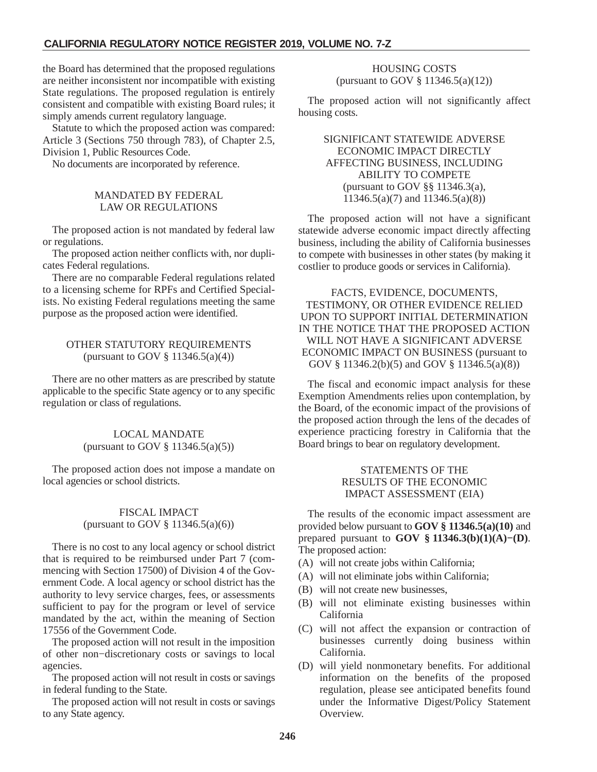the Board has determined that the proposed regulations are neither inconsistent nor incompatible with existing State regulations. The proposed regulation is entirely consistent and compatible with existing Board rules; it simply amends current regulatory language.

Statute to which the proposed action was compared: Article 3 (Sections 750 through 783), of Chapter 2.5, Division 1, Public Resources Code.

No documents are incorporated by reference.

## MANDATED BY FEDERAL LAW OR REGULATIONS

The proposed action is not mandated by federal law or regulations.

The proposed action neither conflicts with, nor duplicates Federal regulations.

There are no comparable Federal regulations related to a licensing scheme for RPFs and Certified Specialists. No existing Federal regulations meeting the same purpose as the proposed action were identified.

# OTHER STATUTORY REQUIREMENTS (pursuant to GOV  $\S$  11346.5(a)(4))

There are no other matters as are prescribed by statute applicable to the specific State agency or to any specific regulation or class of regulations.

### LOCAL MANDATE (pursuant to GOV  $\S$  11346.5(a)(5))

The proposed action does not impose a mandate on local agencies or school districts.

# FISCAL IMPACT (pursuant to GOV § 11346.5(a)(6))

There is no cost to any local agency or school district that is required to be reimbursed under Part 7 (commencing with Section 17500) of Division 4 of the Government Code. A local agency or school district has the authority to levy service charges, fees, or assessments sufficient to pay for the program or level of service mandated by the act, within the meaning of Section 17556 of the Government Code.

The proposed action will not result in the imposition of other non−discretionary costs or savings to local agencies.

The proposed action will not result in costs or savings in federal funding to the State.

The proposed action will not result in costs or savings to any State agency.

# HOUSING COSTS (pursuant to GOV § 11346.5(a)(12))

The proposed action will not significantly affect housing costs.

# SIGNIFICANT STATEWIDE ADVERSE ECONOMIC IMPACT DIRECTLY AFFECTING BUSINESS, INCLUDING ABILITY TO COMPETE (pursuant to GOV §§ 11346.3(a), 11346.5(a)(7) and 11346.5(a)(8))

The proposed action will not have a significant statewide adverse economic impact directly affecting business, including the ability of California businesses to compete with businesses in other states (by making it costlier to produce goods or services in California).

FACTS, EVIDENCE, DOCUMENTS, TESTIMONY, OR OTHER EVIDENCE RELIED UPON TO SUPPORT INITIAL DETERMINATION IN THE NOTICE THAT THE PROPOSED ACTION WILL NOT HAVE A SIGNIFICANT ADVERSE ECONOMIC IMPACT ON BUSINESS (pursuant to GOV § 11346.2(b)(5) and GOV § 11346.5(a)(8))

The fiscal and economic impact analysis for these Exemption Amendments relies upon contemplation, by the Board, of the economic impact of the provisions of the proposed action through the lens of the decades of experience practicing forestry in California that the Board brings to bear on regulatory development.

# STATEMENTS OF THE RESULTS OF THE ECONOMIC IMPACT ASSESSMENT (EIA)

The results of the economic impact assessment are provided below pursuant to **GOV § 11346.5(a)(10)** and prepared pursuant to **GOV § 11346.3(b)(1)(A)−(D)**. The proposed action:

- (A) will not create jobs within California;
- (A) will not eliminate jobs within California;
- (B) will not create new businesses,
- (B) will not eliminate existing businesses within California
- (C) will not affect the expansion or contraction of businesses currently doing business within California.
- (D) will yield nonmonetary benefits. For additional information on the benefits of the proposed regulation, please see anticipated benefits found under the Informative Digest/Policy Statement Overview.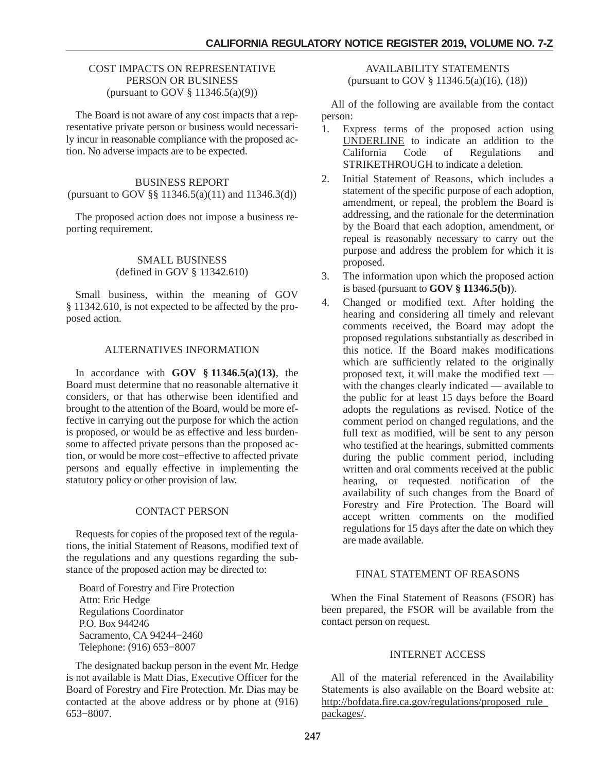#### COST IMPACTS ON REPRESENTATIVE PERSON OR BUSINESS (pursuant to GOV § 11346.5(a)(9))

The Board is not aware of any cost impacts that a representative private person or business would necessarily incur in reasonable compliance with the proposed action. No adverse impacts are to be expected.

# BUSINESS REPORT (pursuant to GOV §§ 11346.5(a)(11) and 11346.3(d))

The proposed action does not impose a business reporting requirement.

#### SMALL BUSINESS (defined in GOV § 11342.610)

Small business, within the meaning of GOV § 11342.610, is not expected to be affected by the proposed action.

### ALTERNATIVES INFORMATION

In accordance with **GOV § 11346.5(a)(13)**, the Board must determine that no reasonable alternative it considers, or that has otherwise been identified and brought to the attention of the Board, would be more effective in carrying out the purpose for which the action is proposed, or would be as effective and less burdensome to affected private persons than the proposed action, or would be more cost−effective to affected private persons and equally effective in implementing the statutory policy or other provision of law.

# CONTACT PERSON

Requests for copies of the proposed text of the regulations, the initial Statement of Reasons, modified text of the regulations and any questions regarding the substance of the proposed action may be directed to:

Board of Forestry and Fire Protection Attn: Eric Hedge Regulations Coordinator P.O. Box 944246 Sacramento, CA 94244−2460 Telephone: (916) 653−8007

The designated backup person in the event Mr. Hedge is not available is Matt Dias, Executive Officer for the Board of Forestry and Fire Protection. Mr. Dias may be contacted at the above address or by phone at (916) 653−8007.

AVAILABILITY STATEMENTS (pursuant to GOV § 11346.5(a)(16), (18))

All of the following are available from the contact person:

- 1. Express terms of the proposed action using UNDERLINE to indicate an addition to the Code of Regulations and STRIKETHROUGH to indicate a deletion.
- 2. Initial Statement of Reasons, which includes a statement of the specific purpose of each adoption, amendment, or repeal, the problem the Board is addressing, and the rationale for the determination by the Board that each adoption, amendment, or repeal is reasonably necessary to carry out the purpose and address the problem for which it is proposed.
- 3. The information upon which the proposed action is based (pursuant to **GOV § 11346.5(b)**).
- 4. Changed or modified text. After holding the hearing and considering all timely and relevant comments received, the Board may adopt the proposed regulations substantially as described in this notice. If the Board makes modifications which are sufficiently related to the originally proposed text, it will make the modified text with the changes clearly indicated — available to the public for at least 15 days before the Board adopts the regulations as revised. Notice of the comment period on changed regulations, and the full text as modified, will be sent to any person who testified at the hearings, submitted comments during the public comment period, including written and oral comments received at the public hearing, or requested notification of the availability of such changes from the Board of Forestry and Fire Protection. The Board will accept written comments on the modified regulations for 15 days after the date on which they are made available.

# FINAL STATEMENT OF REASONS

When the Final Statement of Reasons (FSOR) has been prepared, the FSOR will be available from the contact person on request.

# INTERNET ACCESS

All of the material referenced in the Availability Statements is also available on the Board website at: http://bofdata.fire.ca.gov/regulations/proposed\_rule\_ packages/.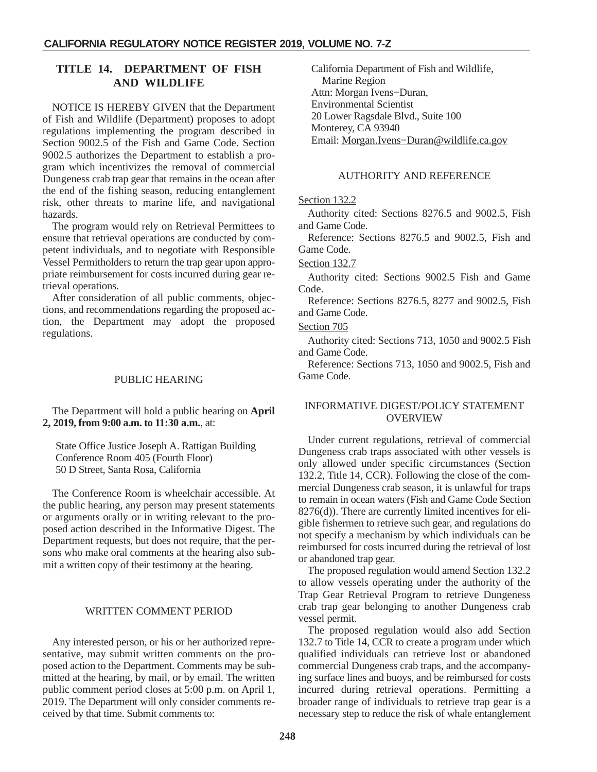# <span id="page-13-0"></span>**TITLE 14. DEPARTMENT OF FISH AND WILDLIFE**

NOTICE IS HEREBY GIVEN that the Department of Fish and Wildlife (Department) proposes to adopt regulations implementing the program described in Section 9002.5 of the Fish and Game Code. Section 9002.5 authorizes the Department to establish a program which incentivizes the removal of commercial Dungeness crab trap gear that remains in the ocean after the end of the fishing season, reducing entanglement risk, other threats to marine life, and navigational hazards.

The program would rely on Retrieval Permittees to ensure that retrieval operations are conducted by competent individuals, and to negotiate with Responsible Vessel Permitholders to return the trap gear upon appropriate reimbursement for costs incurred during gear retrieval operations.

After consideration of all public comments, objections, and recommendations regarding the proposed action, the Department may adopt the proposed regulations.

### PUBLIC HEARING

The Department will hold a public hearing on **April 2, 2019, from 9:00 a.m. to 11:30 a.m.**, at:

State Office Justice Joseph A. Rattigan Building Conference Room 405 (Fourth Floor) 50 D Street, Santa Rosa, California

The Conference Room is wheelchair accessible. At the public hearing, any person may present statements or arguments orally or in writing relevant to the proposed action described in the Informative Digest. The Department requests, but does not require, that the persons who make oral comments at the hearing also submit a written copy of their testimony at the hearing.

#### WRITTEN COMMENT PERIOD

Any interested person, or his or her authorized representative, may submit written comments on the proposed action to the Department. Comments may be submitted at the hearing, by mail, or by email. The written public comment period closes at 5:00 p.m. on April 1, 2019. The Department will only consider comments received by that time. Submit comments to:

California Department of Fish and Wildlife, Marine Region Attn: Morgan Ivens−Duran, Environmental Scientist 20 Lower Ragsdale Blvd., Suite 100 Monterey, CA 93940 Email: Morgan.Ivens−Duran@wildlife.ca.gov

#### AUTHORITY AND REFERENCE

#### Section 132.2

Authority cited: Sections 8276.5 and 9002.5, Fish and Game Code.

Reference: Sections 8276.5 and 9002.5, Fish and Game Code.

#### Section 132.7

Authority cited: Sections 9002.5 Fish and Game Code.

Reference: Sections 8276.5, 8277 and 9002.5, Fish and Game Code.

#### Section 705

Authority cited: Sections 713, 1050 and 9002.5 Fish and Game Code.

Reference: Sections 713, 1050 and 9002.5, Fish and Game Code.

### INFORMATIVE DIGEST/POLICY STATEMENT OVERVIEW

Under current regulations, retrieval of commercial Dungeness crab traps associated with other vessels is only allowed under specific circumstances (Section 132.2, Title 14, CCR). Following the close of the commercial Dungeness crab season, it is unlawful for traps to remain in ocean waters (Fish and Game Code Section 8276(d)). There are currently limited incentives for eligible fishermen to retrieve such gear, and regulations do not specify a mechanism by which individuals can be reimbursed for costs incurred during the retrieval of lost or abandoned trap gear.

The proposed regulation would amend Section 132.2 to allow vessels operating under the authority of the Trap Gear Retrieval Program to retrieve Dungeness crab trap gear belonging to another Dungeness crab vessel permit.

The proposed regulation would also add Section 132.7 to Title 14, CCR to create a program under which qualified individuals can retrieve lost or abandoned commercial Dungeness crab traps, and the accompanying surface lines and buoys, and be reimbursed for costs incurred during retrieval operations. Permitting a broader range of individuals to retrieve trap gear is a necessary step to reduce the risk of whale entanglement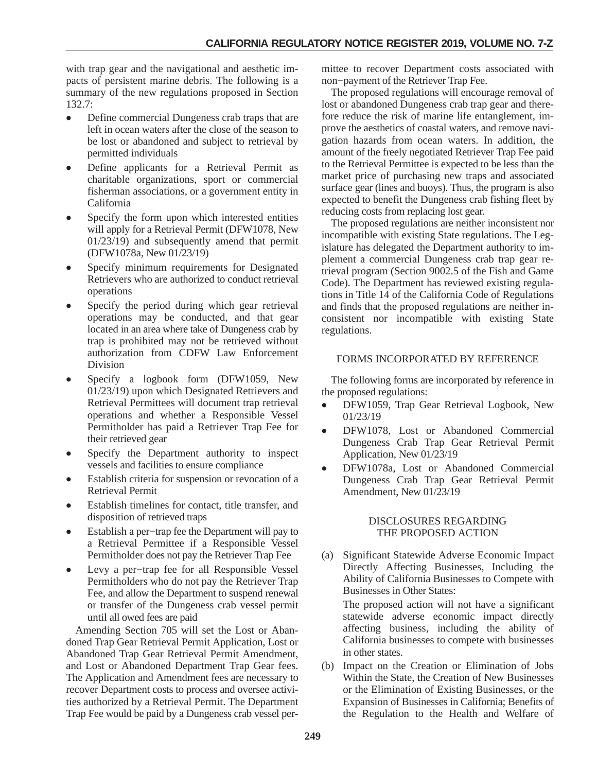with trap gear and the navigational and aesthetic impacts of persistent marine debris. The following is a summary of the new regulations proposed in Section 132.7:

- $\bullet$  Define commercial Dungeness crab traps that are left in ocean waters after the close of the season to be lost or abandoned and subject to retrieval by permitted individuals
- $\bullet$  Define applicants for a Retrieval Permit as charitable organizations, sport or commercial fisherman associations, or a government entity in California
- - Specify the form upon which interested entities will apply for a Retrieval Permit (DFW1078, New 01/23/19) and subsequently amend that permit (DFW1078a, New 01/23/19)
- - Specify minimum requirements for Designated Retrievers who are authorized to conduct retrieval operations
- - Specify the period during which gear retrieval operations may be conducted, and that gear located in an area where take of Dungeness crab by trap is prohibited may not be retrieved without authorization from CDFW Law Enforcement Division
- - Specify a logbook form (DFW1059, New 01/23/19) upon which Designated Retrievers and Retrieval Permittees will document trap retrieval operations and whether a Responsible Vessel Permitholder has paid a Retriever Trap Fee for their retrieved gear
- $\bullet$  Specify the Department authority to inspect vessels and facilities to ensure compliance
- - Establish criteria for suspension or revocation of a Retrieval Permit
- - Establish timelines for contact, title transfer, and disposition of retrieved traps
- - Establish a per−trap fee the Department will pay to a Retrieval Permittee if a Responsible Vessel Permitholder does not pay the Retriever Trap Fee
- - Levy a per−trap fee for all Responsible Vessel Permitholders who do not pay the Retriever Trap Fee, and allow the Department to suspend renewal or transfer of the Dungeness crab vessel permit until all owed fees are paid

Amending Section 705 will set the Lost or Abandoned Trap Gear Retrieval Permit Application, Lost or Abandoned Trap Gear Retrieval Permit Amendment, and Lost or Abandoned Department Trap Gear fees. The Application and Amendment fees are necessary to recover Department costs to process and oversee activities authorized by a Retrieval Permit. The Department Trap Fee would be paid by a Dungeness crab vessel permittee to recover Department costs associated with non−payment of the Retriever Trap Fee.

The proposed regulations will encourage removal of lost or abandoned Dungeness crab trap gear and therefore reduce the risk of marine life entanglement, improve the aesthetics of coastal waters, and remove navigation hazards from ocean waters. In addition, the amount of the freely negotiated Retriever Trap Fee paid to the Retrieval Permittee is expected to be less than the market price of purchasing new traps and associated surface gear (lines and buoys). Thus, the program is also expected to benefit the Dungeness crab fishing fleet by reducing costs from replacing lost gear.

The proposed regulations are neither inconsistent nor incompatible with existing State regulations. The Legislature has delegated the Department authority to implement a commercial Dungeness crab trap gear retrieval program (Section 9002.5 of the Fish and Game Code). The Department has reviewed existing regulations in Title 14 of the California Code of Regulations and finds that the proposed regulations are neither inconsistent nor incompatible with existing State regulations.

# FORMS INCORPORATED BY REFERENCE

The following forms are incorporated by reference in the proposed regulations:

- $\bullet$  DFW1059, Trap Gear Retrieval Logbook, New 01/23/19
- $\bullet$  DFW1078, Lost or Abandoned Commercial Dungeness Crab Trap Gear Retrieval Permit Application, New 01/23/19
- - DFW1078a, Lost or Abandoned Commercial Dungeness Crab Trap Gear Retrieval Permit Amendment, New 01/23/19

### DISCLOSURES REGARDING THE PROPOSED ACTION

(a) Significant Statewide Adverse Economic Impact Directly Affecting Businesses, Including the Ability of California Businesses to Compete with Businesses in Other States:

The proposed action will not have a significant statewide adverse economic impact directly affecting business, including the ability of California businesses to compete with businesses in other states.

(b) Impact on the Creation or Elimination of Jobs Within the State, the Creation of New Businesses or the Elimination of Existing Businesses, or the Expansion of Businesses in California; Benefits of the Regulation to the Health and Welfare of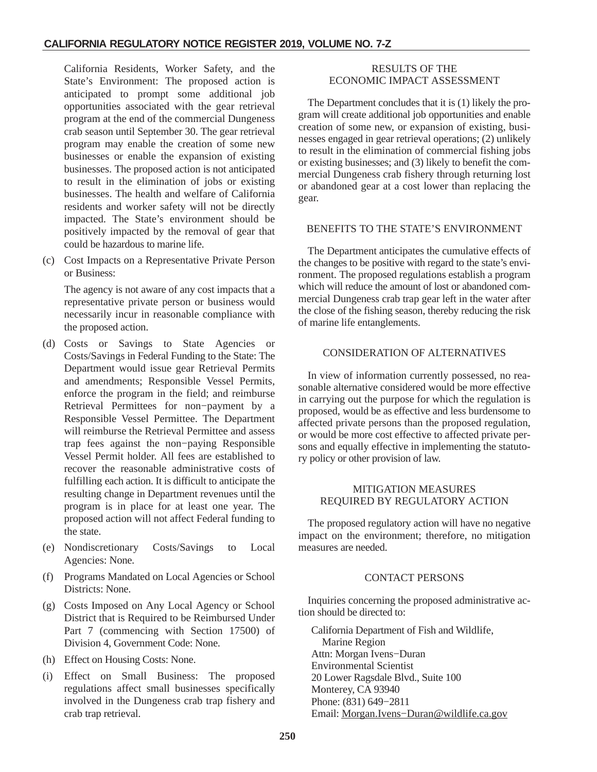California Residents, Worker Safety, and the State's Environment: The proposed action is anticipated to prompt some additional job opportunities associated with the gear retrieval program at the end of the commercial Dungeness crab season until September 30. The gear retrieval program may enable the creation of some new businesses or enable the expansion of existing businesses. The proposed action is not anticipated to result in the elimination of jobs or existing businesses. The health and welfare of California residents and worker safety will not be directly impacted. The State's environment should be positively impacted by the removal of gear that could be hazardous to marine life.

(c) Cost Impacts on a Representative Private Person or Business:

The agency is not aware of any cost impacts that a representative private person or business would necessarily incur in reasonable compliance with the proposed action.

- (d) Costs or Savings to State Agencies or Costs/Savings in Federal Funding to the State: The Department would issue gear Retrieval Permits and amendments; Responsible Vessel Permits, enforce the program in the field; and reimburse Retrieval Permittees for non−payment by a Responsible Vessel Permittee. The Department will reimburse the Retrieval Permittee and assess trap fees against the non−paying Responsible Vessel Permit holder. All fees are established to recover the reasonable administrative costs of fulfilling each action. It is difficult to anticipate the resulting change in Department revenues until the program is in place for at least one year. The proposed action will not affect Federal funding to the state.
- (e) Nondiscretionary Costs/Savings to Local Agencies: None.
- (f) Programs Mandated on Local Agencies or School Districts: None.
- (g) Costs Imposed on Any Local Agency or School District that is Required to be Reimbursed Under Part 7 (commencing with Section 17500) of Division 4, Government Code: None.
- (h) Effect on Housing Costs: None.
- (i) Effect on Small Business: The proposed regulations affect small businesses specifically involved in the Dungeness crab trap fishery and crab trap retrieval.

# RESULTS OF THE ECONOMIC IMPACT ASSESSMENT

The Department concludes that it is (1) likely the program will create additional job opportunities and enable creation of some new, or expansion of existing, businesses engaged in gear retrieval operations; (2) unlikely to result in the elimination of commercial fishing jobs or existing businesses; and (3) likely to benefit the commercial Dungeness crab fishery through returning lost or abandoned gear at a cost lower than replacing the gear.

# BENEFITS TO THE STATE'S ENVIRONMENT

The Department anticipates the cumulative effects of the changes to be positive with regard to the state's environment. The proposed regulations establish a program which will reduce the amount of lost or abandoned commercial Dungeness crab trap gear left in the water after the close of the fishing season, thereby reducing the risk of marine life entanglements.

# CONSIDERATION OF ALTERNATIVES

In view of information currently possessed, no reasonable alternative considered would be more effective in carrying out the purpose for which the regulation is proposed, would be as effective and less burdensome to affected private persons than the proposed regulation, or would be more cost effective to affected private persons and equally effective in implementing the statutory policy or other provision of law.

# MITIGATION MEASURES REQUIRED BY REGULATORY ACTION

The proposed regulatory action will have no negative impact on the environment; therefore, no mitigation measures are needed.

# CONTACT PERSONS

Inquiries concerning the proposed administrative action should be directed to:

California Department of Fish and Wildlife, Marine Region Attn: Morgan Ivens−Duran Environmental Scientist 20 Lower Ragsdale Blvd., Suite 100 Monterey, CA 93940 Phone: (831) 649−2811 Email: Morgan.Ivens−Duran@wildlife.ca.gov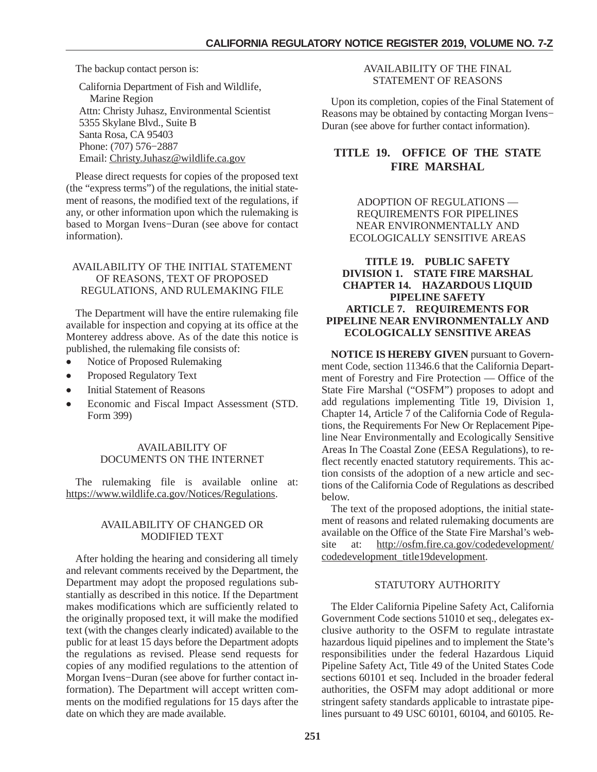<span id="page-16-0"></span>The backup contact person is:

California Department of Fish and Wildlife, Marine Region Attn: Christy Juhasz, Environmental Scientist 5355 Skylane Blvd., Suite B Santa Rosa, CA 95403 Phone: (707) 576−2887 Email: Christy.Juhasz@wildlife.ca.gov

Please direct requests for copies of the proposed text (the "express terms") of the regulations, the initial statement of reasons, the modified text of the regulations, if any, or other information upon which the rulemaking is based to Morgan Ivens−Duran (see above for contact information).

# AVAILABILITY OF THE INITIAL STATEMENT OF REASONS, TEXT OF PROPOSED REGULATIONS, AND RULEMAKING FILE

The Department will have the entire rulemaking file available for inspection and copying at its office at the Monterey address above. As of the date this notice is published, the rulemaking file consists of:

- $\bullet$ Notice of Proposed Rulemaking
- $\bullet$ Proposed Regulatory Text
- -Initial Statement of Reasons
- - Economic and Fiscal Impact Assessment (STD. Form 399)

### AVAILABILITY OF DOCUMENTS ON THE INTERNET

The rulemaking file is available online at: https://www.wildlife.ca.gov/Notices/Regulations.

# AVAILABILITY OF CHANGED OR MODIFIED TEXT

After holding the hearing and considering all timely and relevant comments received by the Department, the Department may adopt the proposed regulations substantially as described in this notice. If the Department makes modifications which are sufficiently related to the originally proposed text, it will make the modified text (with the changes clearly indicated) available to the public for at least 15 days before the Department adopts the regulations as revised. Please send requests for copies of any modified regulations to the attention of Morgan Ivens−Duran (see above for further contact information). The Department will accept written comments on the modified regulations for 15 days after the date on which they are made available.

# AVAILABILITY OF THE FINAL STATEMENT OF REASONS

Upon its completion, copies of the Final Statement of Reasons may be obtained by contacting Morgan Ivens− Duran (see above for further contact information).

# **TITLE 19. OFFICE OF THE STATE FIRE MARSHAL**

ADOPTION OF REGULATIONS — REQUIREMENTS FOR PIPELINES NEAR ENVIRONMENTALLY AND ECOLOGICALLY SENSITIVE AREAS

# **TITLE 19. PUBLIC SAFETY DIVISION 1. STATE FIRE MARSHAL CHAPTER 14. HAZARDOUS LIQUID PIPELINE SAFETY ARTICLE 7. REQUIREMENTS FOR PIPELINE NEAR ENVIRONMENTALLY AND ECOLOGICALLY SENSITIVE AREAS**

**NOTICE IS HEREBY GIVEN** pursuant to Government Code, section 11346.6 that the California Department of Forestry and Fire Protection — Office of the State Fire Marshal ("OSFM") proposes to adopt and add regulations implementing Title 19, Division 1, Chapter 14, Article 7 of the California Code of Regulations, the Requirements For New Or Replacement Pipeline Near Environmentally and Ecologically Sensitive Areas In The Coastal Zone (EESA Regulations), to reflect recently enacted statutory requirements. This action consists of the adoption of a new article and sections of the California Code of Regulations as described below.

The text of the proposed adoptions, the initial statement of reasons and related rulemaking documents are available on the Office of the State Fire Marshal's website at: http://osfm.fire.ca.gov/codedevelopment/ codedevelopment\_title19development.

# STATUTORY AUTHORITY

The Elder California Pipeline Safety Act, California Government Code sections 51010 et seq., delegates exclusive authority to the OSFM to regulate intrastate hazardous liquid pipelines and to implement the State's responsibilities under the federal Hazardous Liquid Pipeline Safety Act, Title 49 of the United States Code sections 60101 et seq. Included in the broader federal authorities, the OSFM may adopt additional or more stringent safety standards applicable to intrastate pipelines pursuant to 49 USC 60101, 60104, and 60105. Re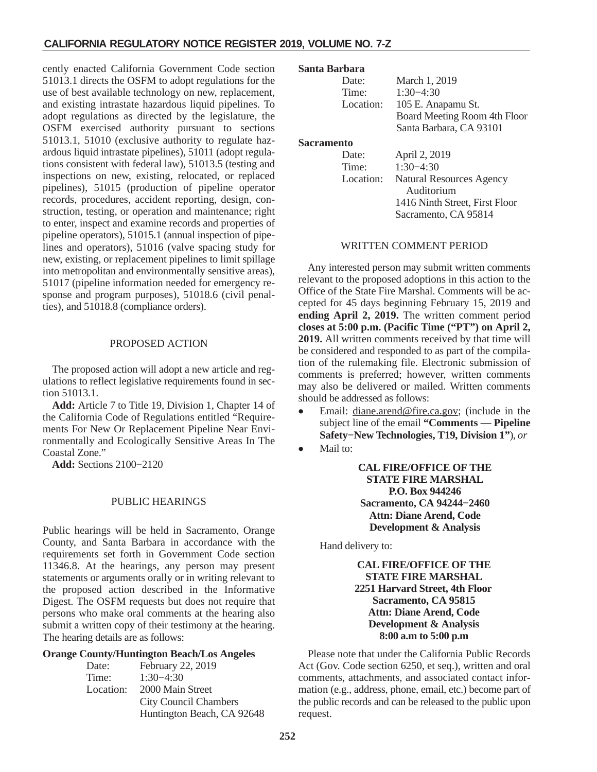cently enacted California Government Code section 51013.1 directs the OSFM to adopt regulations for the use of best available technology on new, replacement, and existing intrastate hazardous liquid pipelines. To adopt regulations as directed by the legislature, the OSFM exercised authority pursuant to sections 51013.1, 51010 (exclusive authority to regulate hazardous liquid intrastate pipelines), 51011 (adopt regulations consistent with federal law), 51013.5 (testing and inspections on new, existing, relocated, or replaced pipelines), 51015 (production of pipeline operator records, procedures, accident reporting, design, construction, testing, or operation and maintenance; right to enter, inspect and examine records and properties of pipeline operators), 51015.1 (annual inspection of pipelines and operators), 51016 (valve spacing study for new, existing, or replacement pipelines to limit spillage into metropolitan and environmentally sensitive areas), 51017 (pipeline information needed for emergency response and program purposes), 51018.6 (civil penalties), and 51018.8 (compliance orders).

### PROPOSED ACTION

The proposed action will adopt a new article and regulations to reflect legislative requirements found in section 51013.1.

**Add:** Article 7 to Title 19, Division 1, Chapter 14 of the California Code of Regulations entitled "Requirements For New Or Replacement Pipeline Near Environmentally and Ecologically Sensitive Areas In The Coastal Zone."

**Add:** Sections 2100−2120

# PUBLIC HEARINGS

Public hearings will be held in Sacramento, Orange County, and Santa Barbara in accordance with the requirements set forth in Government Code section 11346.8. At the hearings, any person may present statements or arguments orally or in writing relevant to the proposed action described in the Informative Digest. The OSFM requests but does not require that persons who make oral comments at the hearing also submit a written copy of their testimony at the hearing. The hearing details are as follows:

#### **Orange County/Huntington Beach/Los Angeles**

| Date:     | February 22, 2019            |
|-----------|------------------------------|
| Time:     | $1:30-4:30$                  |
| Location: | 2000 Main Street             |
|           | <b>City Council Chambers</b> |
|           | Huntington Beach, CA 92648   |

#### **Santa Barbara**

| Date:             | March 1, 2019                   |  |
|-------------------|---------------------------------|--|
| Time:             | $1:30-4:30$                     |  |
| Location:         | 105 E. Anapamu St.              |  |
|                   | Board Meeting Room 4th Floor    |  |
|                   | Santa Barbara, CA 93101         |  |
| <b>Sacramento</b> |                                 |  |
| Date:             | April 2, 2019                   |  |
| Time:             | $1:30-4:30$                     |  |
| Location:         | <b>Natural Resources Agency</b> |  |
|                   | Auditorium                      |  |
|                   | 1416 Ninth Street, First Floor  |  |
|                   | Sacramento, CA 95814            |  |

#### WRITTEN COMMENT PERIOD

Any interested person may submit written comments relevant to the proposed adoptions in this action to the Office of the State Fire Marshal. Comments will be accepted for 45 days beginning February 15, 2019 and **ending April 2, 2019.** The written comment period **closes at 5:00 p.m. (Pacific Time ("PT") on April 2, 2019.** All written comments received by that time will be considered and responded to as part of the compilation of the rulemaking file. Electronic submission of comments is preferred; however, written comments may also be delivered or mailed. Written comments should be addressed as follows:

- - Email: diane.arend@fire.ca.gov; (include in the subject line of the email **"Comments — Pipeline Safety−New Technologies, T19, Division 1"**), *or*
- -Mail to:

**CAL FIRE/OFFICE OF THE STATE FIRE MARSHAL P.O. Box 944246 Sacramento, CA 94244−2460 Attn: Diane Arend, Code Development & Analysis**

Hand delivery to:

**CAL FIRE/OFFICE OF THE STATE FIRE MARSHAL 2251 Harvard Street, 4th Floor Sacramento, CA 95815 Attn: Diane Arend, Code Development & Analysis 8:00 a.m to 5:00 p.m**

Please note that under the California Public Records Act (Gov. Code section 6250, et seq.), written and oral comments, attachments, and associated contact information (e.g., address, phone, email, etc.) become part of the public records and can be released to the public upon request.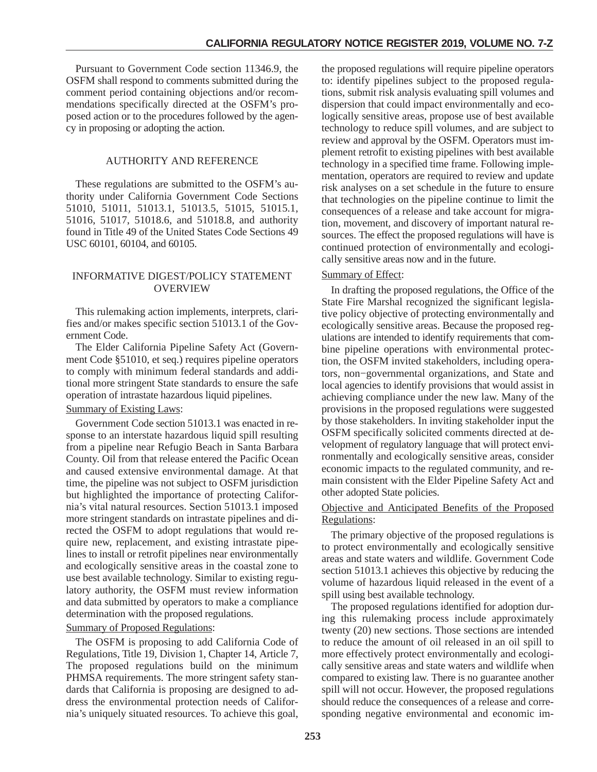Pursuant to Government Code section 11346.9, the OSFM shall respond to comments submitted during the comment period containing objections and/or recommendations specifically directed at the OSFM's proposed action or to the procedures followed by the agency in proposing or adopting the action.

# AUTHORITY AND REFERENCE

These regulations are submitted to the OSFM's authority under California Government Code Sections 51010, 51011, 51013.1, 51013.5, 51015, 51015.1, 51016, 51017, 51018.6, and 51018.8, and authority found in Title 49 of the United States Code Sections 49 USC 60101, 60104, and 60105.

# INFORMATIVE DIGEST/POLICY STATEMENT OVERVIEW

This rulemaking action implements, interprets, clarifies and/or makes specific section 51013.1 of the Government Code.

The Elder California Pipeline Safety Act (Government Code §51010, et seq.) requires pipeline operators to comply with minimum federal standards and additional more stringent State standards to ensure the safe operation of intrastate hazardous liquid pipelines.

#### Summary of Existing Laws:

Government Code section 51013.1 was enacted in response to an interstate hazardous liquid spill resulting from a pipeline near Refugio Beach in Santa Barbara County. Oil from that release entered the Pacific Ocean and caused extensive environmental damage. At that time, the pipeline was not subject to OSFM jurisdiction but highlighted the importance of protecting California's vital natural resources. Section 51013.1 imposed more stringent standards on intrastate pipelines and directed the OSFM to adopt regulations that would require new, replacement, and existing intrastate pipelines to install or retrofit pipelines near environmentally and ecologically sensitive areas in the coastal zone to use best available technology. Similar to existing regulatory authority, the OSFM must review information and data submitted by operators to make a compliance determination with the proposed regulations.

# Summary of Proposed Regulations:

The OSFM is proposing to add California Code of Regulations, Title 19, Division 1, Chapter 14, Article 7, The proposed regulations build on the minimum PHMSA requirements. The more stringent safety standards that California is proposing are designed to address the environmental protection needs of California's uniquely situated resources. To achieve this goal,

the proposed regulations will require pipeline operators to: identify pipelines subject to the proposed regulations, submit risk analysis evaluating spill volumes and dispersion that could impact environmentally and ecologically sensitive areas, propose use of best available technology to reduce spill volumes, and are subject to review and approval by the OSFM. Operators must implement retrofit to existing pipelines with best available technology in a specified time frame. Following implementation, operators are required to review and update risk analyses on a set schedule in the future to ensure that technologies on the pipeline continue to limit the consequences of a release and take account for migration, movement, and discovery of important natural resources. The effect the proposed regulations will have is continued protection of environmentally and ecologically sensitive areas now and in the future.

# Summary of Effect:

In drafting the proposed regulations, the Office of the State Fire Marshal recognized the significant legislative policy objective of protecting environmentally and ecologically sensitive areas. Because the proposed regulations are intended to identify requirements that combine pipeline operations with environmental protection, the OSFM invited stakeholders, including operators, non−governmental organizations, and State and local agencies to identify provisions that would assist in achieving compliance under the new law. Many of the provisions in the proposed regulations were suggested by those stakeholders. In inviting stakeholder input the OSFM specifically solicited comments directed at development of regulatory language that will protect environmentally and ecologically sensitive areas, consider economic impacts to the regulated community, and remain consistent with the Elder Pipeline Safety Act and other adopted State policies.

# Objective and Anticipated Benefits of the Proposed Regulations:

The primary objective of the proposed regulations is to protect environmentally and ecologically sensitive areas and state waters and wildlife. Government Code section 51013.1 achieves this objective by reducing the volume of hazardous liquid released in the event of a spill using best available technology.

The proposed regulations identified for adoption during this rulemaking process include approximately twenty (20) new sections. Those sections are intended to reduce the amount of oil released in an oil spill to more effectively protect environmentally and ecologically sensitive areas and state waters and wildlife when compared to existing law. There is no guarantee another spill will not occur. However, the proposed regulations should reduce the consequences of a release and corresponding negative environmental and economic im-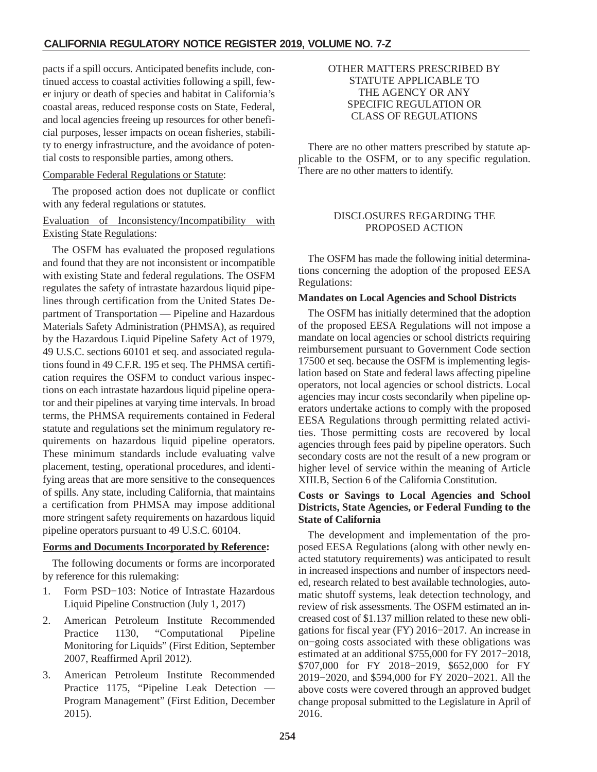pacts if a spill occurs. Anticipated benefits include, continued access to coastal activities following a spill, fewer injury or death of species and habitat in California's coastal areas, reduced response costs on State, Federal, and local agencies freeing up resources for other beneficial purposes, lesser impacts on ocean fisheries, stability to energy infrastructure, and the avoidance of potential costs to responsible parties, among others.

# Comparable Federal Regulations or Statute:

The proposed action does not duplicate or conflict with any federal regulations or statutes.

# Evaluation of Inconsistency/Incompatibility with Existing State Regulations:

The OSFM has evaluated the proposed regulations and found that they are not inconsistent or incompatible with existing State and federal regulations. The OSFM regulates the safety of intrastate hazardous liquid pipelines through certification from the United States Department of Transportation — Pipeline and Hazardous Materials Safety Administration (PHMSA), as required by the Hazardous Liquid Pipeline Safety Act of 1979, 49 U.S.C. sections 60101 et seq. and associated regulations found in 49 C.F.R. 195 et seq. The PHMSA certification requires the OSFM to conduct various inspections on each intrastate hazardous liquid pipeline operator and their pipelines at varying time intervals. In broad terms, the PHMSA requirements contained in Federal statute and regulations set the minimum regulatory requirements on hazardous liquid pipeline operators. These minimum standards include evaluating valve placement, testing, operational procedures, and identifying areas that are more sensitive to the consequences of spills. Any state, including California, that maintains a certification from PHMSA may impose additional more stringent safety requirements on hazardous liquid pipeline operators pursuant to 49 U.S.C. 60104.

# **Forms and Documents Incorporated by Reference:**

The following documents or forms are incorporated by reference for this rulemaking:

- 1. Form PSD−103: Notice of Intrastate Hazardous Liquid Pipeline Construction (July 1, 2017)
- 2. American Petroleum Institute Recommended Practice 1130, "Computational Pipeline Monitoring for Liquids" (First Edition, September 2007, Reaffirmed April 2012).
- 3. American Petroleum Institute Recommended Practice 1175, "Pipeline Leak Detection — Program Management" (First Edition, December 2015).

# OTHER MATTERS PRESCRIBED BY STATUTE APPLICABLE TO THE AGENCY OR ANY SPECIFIC REGULATION OR CLASS OF REGULATIONS

There are no other matters prescribed by statute applicable to the OSFM, or to any specific regulation. There are no other matters to identify.

# DISCLOSURES REGARDING THE PROPOSED ACTION

The OSFM has made the following initial determinations concerning the adoption of the proposed EESA Regulations:

### **Mandates on Local Agencies and School Districts**

The OSFM has initially determined that the adoption of the proposed EESA Regulations will not impose a mandate on local agencies or school districts requiring reimbursement pursuant to Government Code section 17500 et seq. because the OSFM is implementing legislation based on State and federal laws affecting pipeline operators, not local agencies or school districts. Local agencies may incur costs secondarily when pipeline operators undertake actions to comply with the proposed EESA Regulations through permitting related activities. Those permitting costs are recovered by local agencies through fees paid by pipeline operators. Such secondary costs are not the result of a new program or higher level of service within the meaning of Article XIII.B, Section 6 of the California Constitution.

# **Costs or Savings to Local Agencies and School Districts, State Agencies, or Federal Funding to the State of California**

The development and implementation of the proposed EESA Regulations (along with other newly enacted statutory requirements) was anticipated to result in increased inspections and number of inspectors needed, research related to best available technologies, automatic shutoff systems, leak detection technology, and review of risk assessments. The OSFM estimated an increased cost of \$1.137 million related to these new obligations for fiscal year (FY) 2016−2017. An increase in on−going costs associated with these obligations was estimated at an additional \$755,000 for FY 2017−2018, \$707,000 for FY 2018−2019, \$652,000 for FY 2019−2020, and \$594,000 for FY 2020−2021. All the above costs were covered through an approved budget change proposal submitted to the Legislature in April of 2016.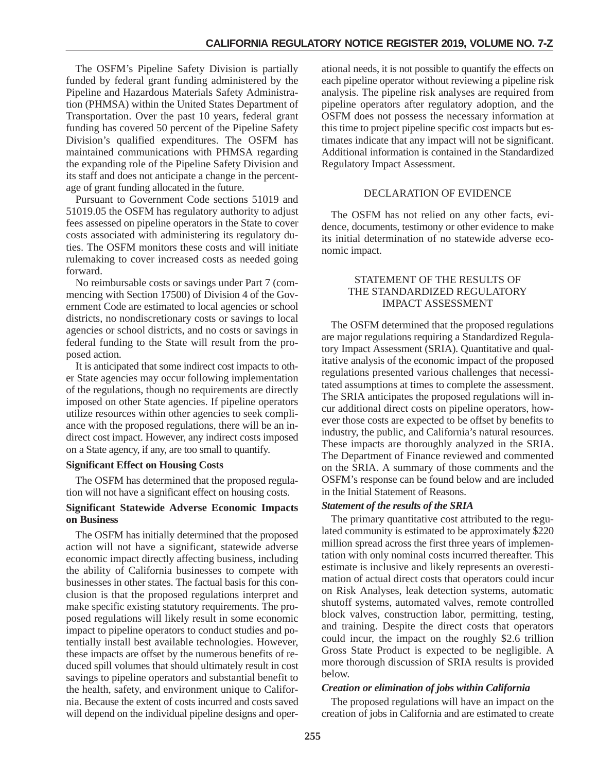The OSFM's Pipeline Safety Division is partially funded by federal grant funding administered by the Pipeline and Hazardous Materials Safety Administration (PHMSA) within the United States Department of Transportation. Over the past 10 years, federal grant funding has covered 50 percent of the Pipeline Safety Division's qualified expenditures. The OSFM has maintained communications with PHMSA regarding the expanding role of the Pipeline Safety Division and its staff and does not anticipate a change in the percentage of grant funding allocated in the future.

Pursuant to Government Code sections 51019 and 51019.05 the OSFM has regulatory authority to adjust fees assessed on pipeline operators in the State to cover costs associated with administering its regulatory duties. The OSFM monitors these costs and will initiate rulemaking to cover increased costs as needed going forward.

No reimbursable costs or savings under Part 7 (commencing with Section 17500) of Division 4 of the Government Code are estimated to local agencies or school districts, no nondiscretionary costs or savings to local agencies or school districts, and no costs or savings in federal funding to the State will result from the proposed action.

It is anticipated that some indirect cost impacts to other State agencies may occur following implementation of the regulations, though no requirements are directly imposed on other State agencies. If pipeline operators utilize resources within other agencies to seek compliance with the proposed regulations, there will be an indirect cost impact. However, any indirect costs imposed on a State agency, if any, are too small to quantify.

#### **Significant Effect on Housing Costs**

The OSFM has determined that the proposed regulation will not have a significant effect on housing costs.

# **Significant Statewide Adverse Economic Impacts on Business**

The OSFM has initially determined that the proposed action will not have a significant, statewide adverse economic impact directly affecting business, including the ability of California businesses to compete with businesses in other states. The factual basis for this conclusion is that the proposed regulations interpret and make specific existing statutory requirements. The proposed regulations will likely result in some economic impact to pipeline operators to conduct studies and potentially install best available technologies. However, these impacts are offset by the numerous benefits of reduced spill volumes that should ultimately result in cost savings to pipeline operators and substantial benefit to the health, safety, and environment unique to California. Because the extent of costs incurred and costs saved will depend on the individual pipeline designs and oper-

ational needs, it is not possible to quantify the effects on each pipeline operator without reviewing a pipeline risk analysis. The pipeline risk analyses are required from pipeline operators after regulatory adoption, and the OSFM does not possess the necessary information at this time to project pipeline specific cost impacts but estimates indicate that any impact will not be significant. Additional information is contained in the Standardized Regulatory Impact Assessment.

# DECLARATION OF EVIDENCE

The OSFM has not relied on any other facts, evidence, documents, testimony or other evidence to make its initial determination of no statewide adverse economic impact.

#### STATEMENT OF THE RESULTS OF THE STANDARDIZED REGULATORY IMPACT ASSESSMENT

The OSFM determined that the proposed regulations are major regulations requiring a Standardized Regulatory Impact Assessment (SRIA). Quantitative and qualitative analysis of the economic impact of the proposed regulations presented various challenges that necessitated assumptions at times to complete the assessment. The SRIA anticipates the proposed regulations will incur additional direct costs on pipeline operators, however those costs are expected to be offset by benefits to industry, the public, and California's natural resources. These impacts are thoroughly analyzed in the SRIA. The Department of Finance reviewed and commented on the SRIA. A summary of those comments and the OSFM's response can be found below and are included in the Initial Statement of Reasons.

# *Statement of the results of the SRIA*

The primary quantitative cost attributed to the regulated community is estimated to be approximately \$220 million spread across the first three years of implementation with only nominal costs incurred thereafter. This estimate is inclusive and likely represents an overestimation of actual direct costs that operators could incur on Risk Analyses, leak detection systems, automatic shutoff systems, automated valves, remote controlled block valves, construction labor, permitting, testing, and training. Despite the direct costs that operators could incur, the impact on the roughly \$2.6 trillion Gross State Product is expected to be negligible. A more thorough discussion of SRIA results is provided below.

# *Creation or elimination of jobs within California*

The proposed regulations will have an impact on the creation of jobs in California and are estimated to create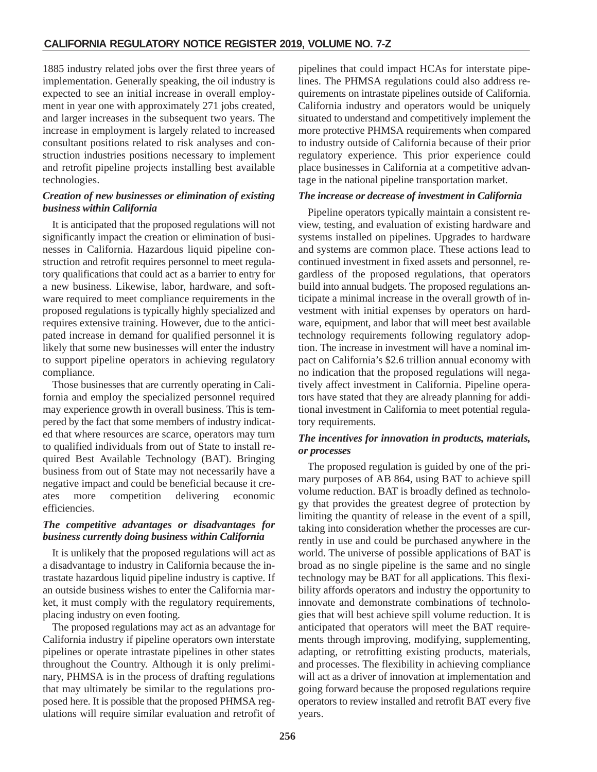1885 industry related jobs over the first three years of implementation. Generally speaking, the oil industry is expected to see an initial increase in overall employment in year one with approximately 271 jobs created, and larger increases in the subsequent two years. The increase in employment is largely related to increased consultant positions related to risk analyses and construction industries positions necessary to implement and retrofit pipeline projects installing best available technologies.

# *Creation of new businesses or elimination of existing business within California*

It is anticipated that the proposed regulations will not significantly impact the creation or elimination of businesses in California. Hazardous liquid pipeline construction and retrofit requires personnel to meet regulatory qualifications that could act as a barrier to entry for a new business. Likewise, labor, hardware, and software required to meet compliance requirements in the proposed regulations is typically highly specialized and requires extensive training. However, due to the anticipated increase in demand for qualified personnel it is likely that some new businesses will enter the industry to support pipeline operators in achieving regulatory compliance.

Those businesses that are currently operating in California and employ the specialized personnel required may experience growth in overall business. This is tempered by the fact that some members of industry indicated that where resources are scarce, operators may turn to qualified individuals from out of State to install required Best Available Technology (BAT). Bringing business from out of State may not necessarily have a negative impact and could be beneficial because it creates more competition delivering economic efficiencies.

# *The competitive advantages or disadvantages for business currently doing business within California*

It is unlikely that the proposed regulations will act as a disadvantage to industry in California because the intrastate hazardous liquid pipeline industry is captive. If an outside business wishes to enter the California market, it must comply with the regulatory requirements, placing industry on even footing.

The proposed regulations may act as an advantage for California industry if pipeline operators own interstate pipelines or operate intrastate pipelines in other states throughout the Country. Although it is only preliminary, PHMSA is in the process of drafting regulations that may ultimately be similar to the regulations proposed here. It is possible that the proposed PHMSA regulations will require similar evaluation and retrofit of pipelines that could impact HCAs for interstate pipelines. The PHMSA regulations could also address requirements on intrastate pipelines outside of California. California industry and operators would be uniquely situated to understand and competitively implement the more protective PHMSA requirements when compared to industry outside of California because of their prior regulatory experience. This prior experience could place businesses in California at a competitive advantage in the national pipeline transportation market.

# *The increase or decrease of investment in California*

Pipeline operators typically maintain a consistent review, testing, and evaluation of existing hardware and systems installed on pipelines. Upgrades to hardware and systems are common place. These actions lead to continued investment in fixed assets and personnel, regardless of the proposed regulations, that operators build into annual budgets. The proposed regulations anticipate a minimal increase in the overall growth of investment with initial expenses by operators on hardware, equipment, and labor that will meet best available technology requirements following regulatory adoption. The increase in investment will have a nominal impact on California's \$2.6 trillion annual economy with no indication that the proposed regulations will negatively affect investment in California. Pipeline operators have stated that they are already planning for additional investment in California to meet potential regulatory requirements.

# *The incentives for innovation in products, materials, or processes*

The proposed regulation is guided by one of the primary purposes of AB 864, using BAT to achieve spill volume reduction. BAT is broadly defined as technology that provides the greatest degree of protection by limiting the quantity of release in the event of a spill, taking into consideration whether the processes are currently in use and could be purchased anywhere in the world. The universe of possible applications of BAT is broad as no single pipeline is the same and no single technology may be BAT for all applications. This flexibility affords operators and industry the opportunity to innovate and demonstrate combinations of technologies that will best achieve spill volume reduction. It is anticipated that operators will meet the BAT requirements through improving, modifying, supplementing, adapting, or retrofitting existing products, materials, and processes. The flexibility in achieving compliance will act as a driver of innovation at implementation and going forward because the proposed regulations require operators to review installed and retrofit BAT every five years.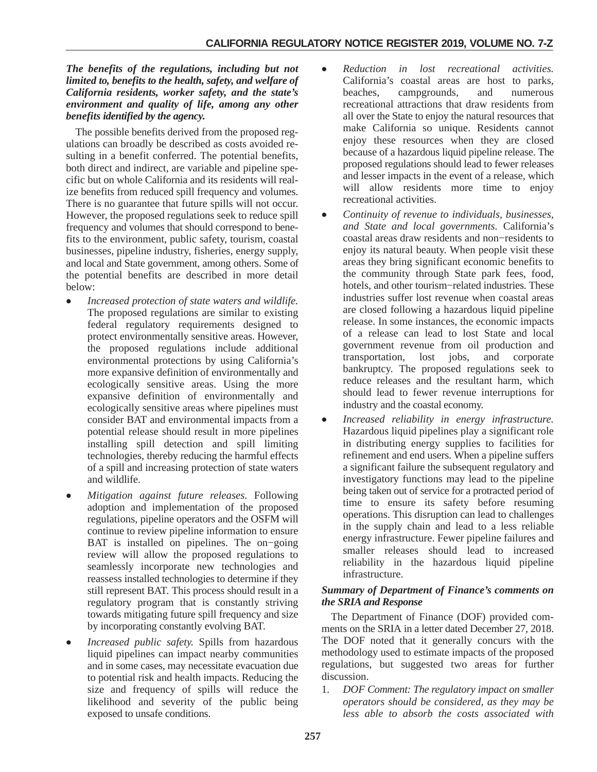# *The benefits of the regulations, including but not limited to, benefits to the health, safety, and welfare of California residents, worker safety, and the state's environment and quality of life, among any other benefits identified by the agency.*

The possible benefits derived from the proposed regulations can broadly be described as costs avoided resulting in a benefit conferred. The potential benefits, both direct and indirect, are variable and pipeline specific but on whole California and its residents will realize benefits from reduced spill frequency and volumes. There is no guarantee that future spills will not occur. However, the proposed regulations seek to reduce spill frequency and volumes that should correspond to benefits to the environment, public safety, tourism, coastal businesses, pipeline industry, fisheries, energy supply, and local and State government, among others. Some of the potential benefits are described in more detail below:

- - *Increased protection of state waters and wildlife.* The proposed regulations are similar to existing federal regulatory requirements designed to protect environmentally sensitive areas. However, the proposed regulations include additional environmental protections by using California's more expansive definition of environmentally and ecologically sensitive areas. Using the more expansive definition of environmentally and ecologically sensitive areas where pipelines must consider BAT and environmental impacts from a potential release should result in more pipelines installing spill detection and spill limiting technologies, thereby reducing the harmful effects of a spill and increasing protection of state waters and wildlife.
- - *Mitigation against future releases.* Following adoption and implementation of the proposed regulations, pipeline operators and the OSFM will continue to review pipeline information to ensure BAT is installed on pipelines. The on–going review will allow the proposed regulations to seamlessly incorporate new technologies and reassess installed technologies to determine if they still represent BAT. This process should result in a regulatory program that is constantly striving towards mitigating future spill frequency and size by incorporating constantly evolving BAT.
- - *Increased public safety.* Spills from hazardous liquid pipelines can impact nearby communities and in some cases, may necessitate evacuation due to potential risk and health impacts. Reducing the size and frequency of spills will reduce the likelihood and severity of the public being exposed to unsafe conditions.
- - *Reduction in lost recreational activities.* California's coastal areas are host to parks, beaches, campgrounds, and numerous recreational attractions that draw residents from all over the State to enjoy the natural resources that make California so unique. Residents cannot enjoy these resources when they are closed because of a hazardous liquid pipeline release. The proposed regulations should lead to fewer releases and lesser impacts in the event of a release, which will allow residents more time to enjoy recreational activities.
- - *Continuity of revenue to individuals, businesses, and State and local governments.* California's coastal areas draw residents and non−residents to enjoy its natural beauty. When people visit these areas they bring significant economic benefits to the community through State park fees, food, hotels, and other tourism−related industries. These industries suffer lost revenue when coastal areas are closed following a hazardous liquid pipeline release. In some instances, the economic impacts of a release can lead to lost State and local government revenue from oil production and transportation, lost jobs, and corporate bankruptcy. The proposed regulations seek to reduce releases and the resultant harm, which should lead to fewer revenue interruptions for industry and the coastal economy.
- $\bullet$  *Increased reliability in energy infrastructure.* Hazardous liquid pipelines play a significant role in distributing energy supplies to facilities for refinement and end users. When a pipeline suffers a significant failure the subsequent regulatory and investigatory functions may lead to the pipeline being taken out of service for a protracted period of time to ensure its safety before resuming operations. This disruption can lead to challenges in the supply chain and lead to a less reliable energy infrastructure. Fewer pipeline failures and smaller releases should lead to increased reliability in the hazardous liquid pipeline infrastructure.

# *Summary of Department of Finance's comments on the SRIA and Response*

The Department of Finance (DOF) provided comments on the SRIA in a letter dated December 27, 2018. The DOF noted that it generally concurs with the methodology used to estimate impacts of the proposed regulations, but suggested two areas for further discussion.

1. *DOF Comment: The regulatory impact on smaller operators should be considered, as they may be less able to absorb the costs associated with*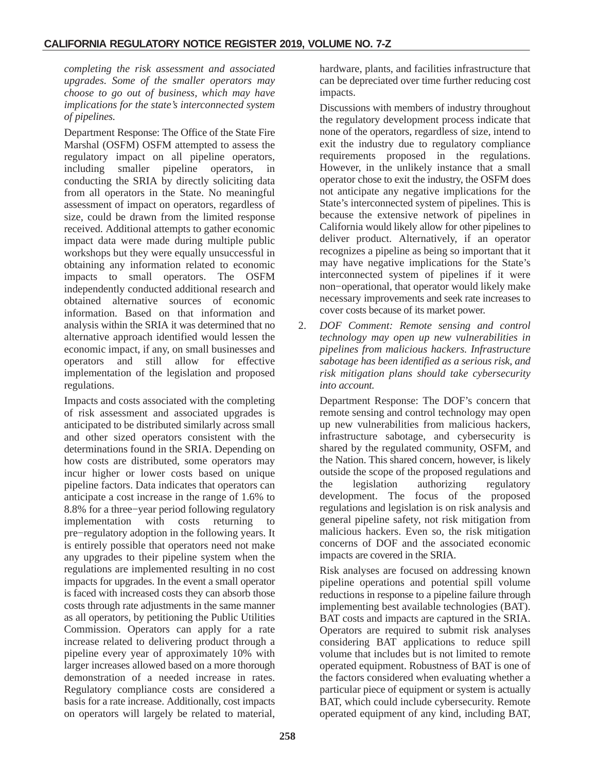*completing the risk assessment and associated upgrades. Some of the smaller operators may choose to go out of business, which may have implications for the state's interconnected system of pipelines.*

Department Response: The Office of the State Fire Marshal (OSFM) OSFM attempted to assess the regulatory impact on all pipeline operators, including smaller pipeline operators, in conducting the SRIA by directly soliciting data from all operators in the State. No meaningful assessment of impact on operators, regardless of size, could be drawn from the limited response received. Additional attempts to gather economic impact data were made during multiple public workshops but they were equally unsuccessful in obtaining any information related to economic impacts to small operators. The OSFM independently conducted additional research and obtained alternative sources of economic information. Based on that information and analysis within the SRIA it was determined that no alternative approach identified would lessen the economic impact, if any, on small businesses and operators and still allow for effective implementation of the legislation and proposed regulations.

Impacts and costs associated with the completing of risk assessment and associated upgrades is anticipated to be distributed similarly across small and other sized operators consistent with the determinations found in the SRIA. Depending on how costs are distributed, some operators may incur higher or lower costs based on unique pipeline factors. Data indicates that operators can anticipate a cost increase in the range of 1.6% to 8.8% for a three−year period following regulatory implementation with costs returning to pre−regulatory adoption in the following years. It is entirely possible that operators need not make any upgrades to their pipeline system when the regulations are implemented resulting in no cost impacts for upgrades. In the event a small operator is faced with increased costs they can absorb those costs through rate adjustments in the same manner as all operators, by petitioning the Public Utilities Commission. Operators can apply for a rate increase related to delivering product through a pipeline every year of approximately 10% with larger increases allowed based on a more thorough demonstration of a needed increase in rates. Regulatory compliance costs are considered a basis for a rate increase. Additionally, cost impacts on operators will largely be related to material,

hardware, plants, and facilities infrastructure that can be depreciated over time further reducing cost impacts.

Discussions with members of industry throughout the regulatory development process indicate that none of the operators, regardless of size, intend to exit the industry due to regulatory compliance requirements proposed in the regulations. However, in the unlikely instance that a small operator chose to exit the industry, the OSFM does not anticipate any negative implications for the State's interconnected system of pipelines. This is because the extensive network of pipelines in California would likely allow for other pipelines to deliver product. Alternatively, if an operator recognizes a pipeline as being so important that it may have negative implications for the State's interconnected system of pipelines if it were non−operational, that operator would likely make necessary improvements and seek rate increases to cover costs because of its market power.

2. *DOF Comment: Remote sensing and control technology may open up new vulnerabilities in pipelines from malicious hackers. Infrastructure sabotage has been identified as a serious risk, and risk mitigation plans should take cybersecurity into account.*

Department Response: The DOF's concern that remote sensing and control technology may open up new vulnerabilities from malicious hackers, infrastructure sabotage, and cybersecurity is shared by the regulated community, OSFM, and the Nation. This shared concern, however, is likely outside the scope of the proposed regulations and the legislation authorizing regulatory development. The focus of the proposed regulations and legislation is on risk analysis and general pipeline safety, not risk mitigation from malicious hackers. Even so, the risk mitigation concerns of DOF and the associated economic impacts are covered in the SRIA.

Risk analyses are focused on addressing known pipeline operations and potential spill volume reductions in response to a pipeline failure through implementing best available technologies (BAT). BAT costs and impacts are captured in the SRIA. Operators are required to submit risk analyses considering BAT applications to reduce spill volume that includes but is not limited to remote operated equipment. Robustness of BAT is one of the factors considered when evaluating whether a particular piece of equipment or system is actually BAT, which could include cybersecurity. Remote operated equipment of any kind, including BAT,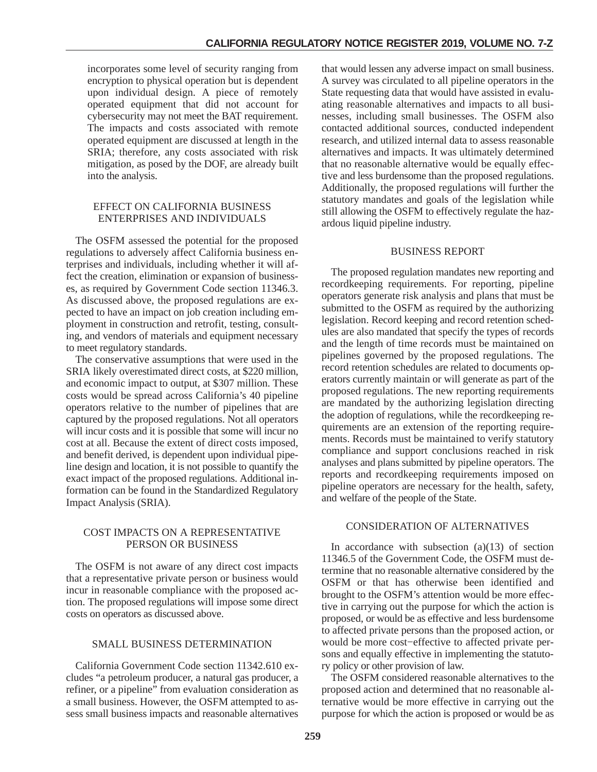incorporates some level of security ranging from encryption to physical operation but is dependent upon individual design. A piece of remotely operated equipment that did not account for cybersecurity may not meet the BAT requirement. The impacts and costs associated with remote operated equipment are discussed at length in the SRIA; therefore, any costs associated with risk mitigation, as posed by the DOF, are already built into the analysis.

#### EFFECT ON CALIFORNIA BUSINESS ENTERPRISES AND INDIVIDUALS

The OSFM assessed the potential for the proposed regulations to adversely affect California business enterprises and individuals, including whether it will affect the creation, elimination or expansion of businesses, as required by Government Code section 11346.3. As discussed above, the proposed regulations are expected to have an impact on job creation including employment in construction and retrofit, testing, consulting, and vendors of materials and equipment necessary to meet regulatory standards.

The conservative assumptions that were used in the SRIA likely overestimated direct costs, at \$220 million, and economic impact to output, at \$307 million. These costs would be spread across California's 40 pipeline operators relative to the number of pipelines that are captured by the proposed regulations. Not all operators will incur costs and it is possible that some will incur no cost at all. Because the extent of direct costs imposed, and benefit derived, is dependent upon individual pipeline design and location, it is not possible to quantify the exact impact of the proposed regulations. Additional information can be found in the Standardized Regulatory Impact Analysis (SRIA).

### COST IMPACTS ON A REPRESENTATIVE PERSON OR BUSINESS

The OSFM is not aware of any direct cost impacts that a representative private person or business would incur in reasonable compliance with the proposed action. The proposed regulations will impose some direct costs on operators as discussed above.

# SMALL BUSINESS DETERMINATION

California Government Code section 11342.610 excludes "a petroleum producer, a natural gas producer, a refiner, or a pipeline" from evaluation consideration as a small business. However, the OSFM attempted to assess small business impacts and reasonable alternatives

that would lessen any adverse impact on small business. A survey was circulated to all pipeline operators in the State requesting data that would have assisted in evaluating reasonable alternatives and impacts to all businesses, including small businesses. The OSFM also contacted additional sources, conducted independent research, and utilized internal data to assess reasonable alternatives and impacts. It was ultimately determined that no reasonable alternative would be equally effective and less burdensome than the proposed regulations. Additionally, the proposed regulations will further the statutory mandates and goals of the legislation while still allowing the OSFM to effectively regulate the hazardous liquid pipeline industry.

### BUSINESS REPORT

The proposed regulation mandates new reporting and recordkeeping requirements. For reporting, pipeline operators generate risk analysis and plans that must be submitted to the OSFM as required by the authorizing legislation. Record keeping and record retention schedules are also mandated that specify the types of records and the length of time records must be maintained on pipelines governed by the proposed regulations. The record retention schedules are related to documents operators currently maintain or will generate as part of the proposed regulations. The new reporting requirements are mandated by the authorizing legislation directing the adoption of regulations, while the recordkeeping requirements are an extension of the reporting requirements. Records must be maintained to verify statutory compliance and support conclusions reached in risk analyses and plans submitted by pipeline operators. The reports and recordkeeping requirements imposed on pipeline operators are necessary for the health, safety, and welfare of the people of the State.

## CONSIDERATION OF ALTERNATIVES

In accordance with subsection  $(a)(13)$  of section 11346.5 of the Government Code, the OSFM must determine that no reasonable alternative considered by the OSFM or that has otherwise been identified and brought to the OSFM's attention would be more effective in carrying out the purpose for which the action is proposed, or would be as effective and less burdensome to affected private persons than the proposed action, or would be more cost−effective to affected private persons and equally effective in implementing the statutory policy or other provision of law.

The OSFM considered reasonable alternatives to the proposed action and determined that no reasonable alternative would be more effective in carrying out the purpose for which the action is proposed or would be as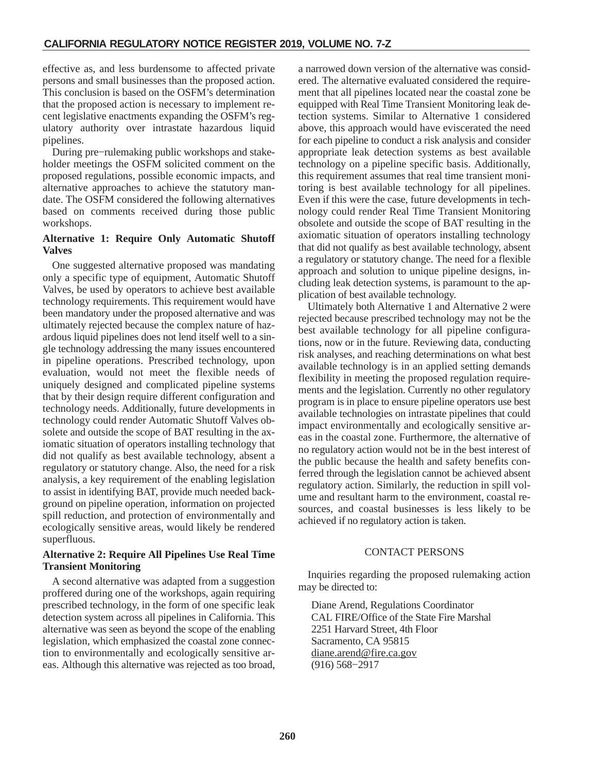effective as, and less burdensome to affected private persons and small businesses than the proposed action. This conclusion is based on the OSFM's determination that the proposed action is necessary to implement recent legislative enactments expanding the OSFM's regulatory authority over intrastate hazardous liquid pipelines.

During pre−rulemaking public workshops and stakeholder meetings the OSFM solicited comment on the proposed regulations, possible economic impacts, and alternative approaches to achieve the statutory mandate. The OSFM considered the following alternatives based on comments received during those public workshops.

# **Alternative 1: Require Only Automatic Shutoff Valves**

One suggested alternative proposed was mandating only a specific type of equipment, Automatic Shutoff Valves, be used by operators to achieve best available technology requirements. This requirement would have been mandatory under the proposed alternative and was ultimately rejected because the complex nature of hazardous liquid pipelines does not lend itself well to a single technology addressing the many issues encountered in pipeline operations. Prescribed technology, upon evaluation, would not meet the flexible needs of uniquely designed and complicated pipeline systems that by their design require different configuration and technology needs. Additionally, future developments in technology could render Automatic Shutoff Valves obsolete and outside the scope of BAT resulting in the axiomatic situation of operators installing technology that did not qualify as best available technology, absent a regulatory or statutory change. Also, the need for a risk analysis, a key requirement of the enabling legislation to assist in identifying BAT, provide much needed background on pipeline operation, information on projected spill reduction, and protection of environmentally and ecologically sensitive areas, would likely be rendered superfluous.

# **Alternative 2: Require All Pipelines Use Real Time Transient Monitoring**

A second alternative was adapted from a suggestion proffered during one of the workshops, again requiring prescribed technology, in the form of one specific leak detection system across all pipelines in California. This alternative was seen as beyond the scope of the enabling legislation, which emphasized the coastal zone connection to environmentally and ecologically sensitive areas. Although this alternative was rejected as too broad, a narrowed down version of the alternative was considered. The alternative evaluated considered the requirement that all pipelines located near the coastal zone be equipped with Real Time Transient Monitoring leak detection systems. Similar to Alternative 1 considered above, this approach would have eviscerated the need for each pipeline to conduct a risk analysis and consider appropriate leak detection systems as best available technology on a pipeline specific basis. Additionally, this requirement assumes that real time transient monitoring is best available technology for all pipelines. Even if this were the case, future developments in technology could render Real Time Transient Monitoring obsolete and outside the scope of BAT resulting in the axiomatic situation of operators installing technology that did not qualify as best available technology, absent a regulatory or statutory change. The need for a flexible approach and solution to unique pipeline designs, including leak detection systems, is paramount to the application of best available technology.

Ultimately both Alternative 1 and Alternative 2 were rejected because prescribed technology may not be the best available technology for all pipeline configurations, now or in the future. Reviewing data, conducting risk analyses, and reaching determinations on what best available technology is in an applied setting demands flexibility in meeting the proposed regulation requirements and the legislation. Currently no other regulatory program is in place to ensure pipeline operators use best available technologies on intrastate pipelines that could impact environmentally and ecologically sensitive areas in the coastal zone. Furthermore, the alternative of no regulatory action would not be in the best interest of the public because the health and safety benefits conferred through the legislation cannot be achieved absent regulatory action. Similarly, the reduction in spill volume and resultant harm to the environment, coastal resources, and coastal businesses is less likely to be achieved if no regulatory action is taken.

# CONTACT PERSONS

Inquiries regarding the proposed rulemaking action may be directed to:

Diane Arend, Regulations Coordinator CAL FIRE/Office of the State Fire Marshal 2251 Harvard Street, 4th Floor Sacramento, CA 95815 diane.arend@fire.ca.gov (916) 568−2917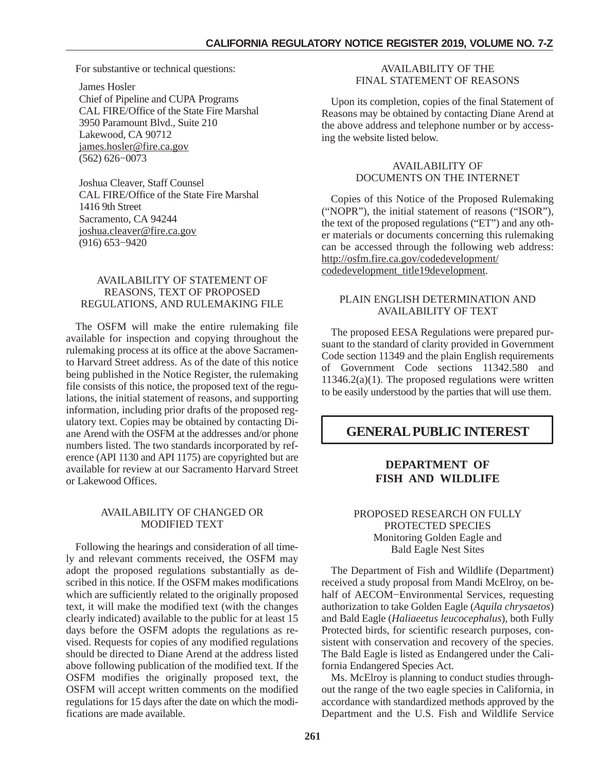<span id="page-26-0"></span>For substantive or technical questions:

James Hosler Chief of Pipeline and CUPA Programs CAL FIRE/Office of the State Fire Marshal 3950 Paramount Blvd., Suite 210 Lakewood, CA 90712 james.hosler@fire.ca.gov (562) 626−0073

Joshua Cleaver, Staff Counsel CAL FIRE/Office of the State Fire Marshal 1416 9th Street Sacramento, CA 94244 joshua.cleaver@fire.ca.gov (916) 653−9420

# AVAILABILITY OF STATEMENT OF REASONS, TEXT OF PROPOSED REGULATIONS, AND RULEMAKING FILE

The OSFM will make the entire rulemaking file available for inspection and copying throughout the rulemaking process at its office at the above Sacramento Harvard Street address. As of the date of this notice being published in the Notice Register, the rulemaking file consists of this notice, the proposed text of the regulations, the initial statement of reasons, and supporting information, including prior drafts of the proposed regulatory text. Copies may be obtained by contacting Diane Arend with the OSFM at the addresses and/or phone numbers listed. The two standards incorporated by reference (API 1130 and API 1175) are copyrighted but are available for review at our Sacramento Harvard Street or Lakewood Offices.

### AVAILABILITY OF CHANGED OR MODIFIED TEXT

Following the hearings and consideration of all timely and relevant comments received, the OSFM may adopt the proposed regulations substantially as described in this notice. If the OSFM makes modifications which are sufficiently related to the originally proposed text, it will make the modified text (with the changes clearly indicated) available to the public for at least 15 days before the OSFM adopts the regulations as revised. Requests for copies of any modified regulations should be directed to Diane Arend at the address listed above following publication of the modified text. If the OSFM modifies the originally proposed text, the OSFM will accept written comments on the modified regulations for 15 days after the date on which the modifications are made available.

# AVAILABILITY OF THE FINAL STATEMENT OF REASONS

Upon its completion, copies of the final Statement of Reasons may be obtained by contacting Diane Arend at the above address and telephone number or by accessing the website listed below.

#### AVAILABILITY OF DOCUMENTS ON THE INTERNET

Copies of this Notice of the Proposed Rulemaking ("NOPR"), the initial statement of reasons ("ISOR"), the text of the proposed regulations ("ET") and any other materials or documents concerning this rulemaking can be accessed through the following web address: http://osfm.fire.ca.gov/codedevelopment/ codedevelopment\_title19development.

# PLAIN ENGLISH DETERMINATION AND AVAILABILITY OF TEXT

The proposed EESA Regulations were prepared pursuant to the standard of clarity provided in Government Code section 11349 and the plain English requirements of Government Code sections 11342.580 and  $11346.2(a)(1)$ . The proposed regulations were written to be easily understood by the parties that will use them.

# **GENERAL PUBLIC INTEREST**

# **DEPARTMENT OF FISH AND WILDLIFE**

# PROPOSED RESEARCH ON FULLY PROTECTED SPECIES Monitoring Golden Eagle and Bald Eagle Nest Sites

The Department of Fish and Wildlife (Department) received a study proposal from Mandi McElroy, on behalf of AECOM−Environmental Services, requesting authorization to take Golden Eagle (*Aquila chrysaetos*) and Bald Eagle (*Haliaeetus leucocephalus*), both Fully Protected birds, for scientific research purposes, consistent with conservation and recovery of the species. The Bald Eagle is listed as Endangered under the California Endangered Species Act.

Ms. McElroy is planning to conduct studies throughout the range of the two eagle species in California, in accordance with standardized methods approved by the Department and the U.S. Fish and Wildlife Service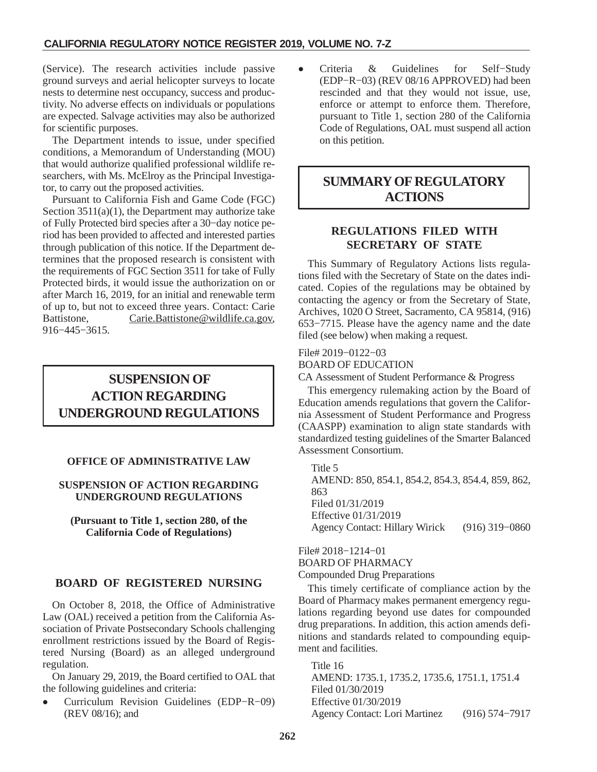<span id="page-27-0"></span>(Service). The research activities include passive ground surveys and aerial helicopter surveys to locate nests to determine nest occupancy, success and productivity. No adverse effects on individuals or populations are expected. Salvage activities may also be authorized for scientific purposes.

The Department intends to issue, under specified conditions, a Memorandum of Understanding (MOU) that would authorize qualified professional wildlife researchers, with Ms. McElroy as the Principal Investigator, to carry out the proposed activities.

Pursuant to California Fish and Game Code (FGC) Section  $3511(a)(1)$ , the Department may authorize take of Fully Protected bird species after a 30−day notice period has been provided to affected and interested parties through publication of this notice. If the Department determines that the proposed research is consistent with the requirements of FGC Section 3511 for take of Fully Protected birds, it would issue the authorization on or after March 16, 2019, for an initial and renewable term of up to, but not to exceed three years. Contact: Carie Battistone, Carie.Battistone@wildlife.ca.gov, 916−445−3615.

# **ACTION REGARDING UNDERGROUND REGULATIONS SUSPENSION OF**

# **OFFICE OF ADMINISTRATIVE LAW**

# **SUSPENSION OF ACTION REGARDING UNDERGROUND REGULATIONS**

**(Pursuant to Title 1, section 280, of the California Code of Regulations)**

# **BOARD OF REGISTERED NURSING**

On October 8, 2018, the Office of Administrative Law (OAL) received a petition from the California Association of Private Postsecondary Schools challenging enrollment restrictions issued by the Board of Registered Nursing (Board) as an alleged underground regulation.

On January 29, 2019, the Board certified to OAL that the following guidelines and criteria:

- Curriculum Revision Guidelines (EDP−R−09) (REV 08/16); and

- Criteria & Guidelines for Self−Study (EDP−R−03) (REV 08/16 APPROVED) had been rescinded and that they would not issue, use, enforce or attempt to enforce them. Therefore, pursuant to Title 1, section 280 of the California Code of Regulations, OAL must suspend all action on this petition.

# **SUMMARY OF REGULATORY ACTIONS**

# **REGULATIONS FILED WITH SECRETARY OF STATE**

This Summary of Regulatory Actions lists regulations filed with the Secretary of State on the dates indicated. Copies of the regulations may be obtained by contacting the agency or from the Secretary of State, Archives, 1020 O Street, Sacramento, CA 95814, (916) 653−7715. Please have the agency name and the date filed (see below) when making a request.

# File# 2019−0122−03

BOARD OF EDUCATION

CA Assessment of Student Performance & Progress

This emergency rulemaking action by the Board of Education amends regulations that govern the California Assessment of Student Performance and Progress (CAASPP) examination to align state standards with standardized testing guidelines of the Smarter Balanced Assessment Consortium.

Title 5 AMEND: 850, 854.1, 854.2, 854.3, 854.4, 859, 862, 863 Filed 01/31/2019 Effective 01/31/2019 Agency Contact: Hillary Wirick (916) 319−0860

File# 2018−1214−01 BOARD OF PHARMACY Compounded Drug Preparations

This timely certificate of compliance action by the Board of Pharmacy makes permanent emergency regulations regarding beyond use dates for compounded drug preparations. In addition, this action amends definitions and standards related to compounding equipment and facilities.

Title 16 AMEND: 1735.1, 1735.2, 1735.6, 1751.1, 1751.4 Filed 01/30/2019 Effective 01/30/2019 Agency Contact: Lori Martinez (916) 574−7917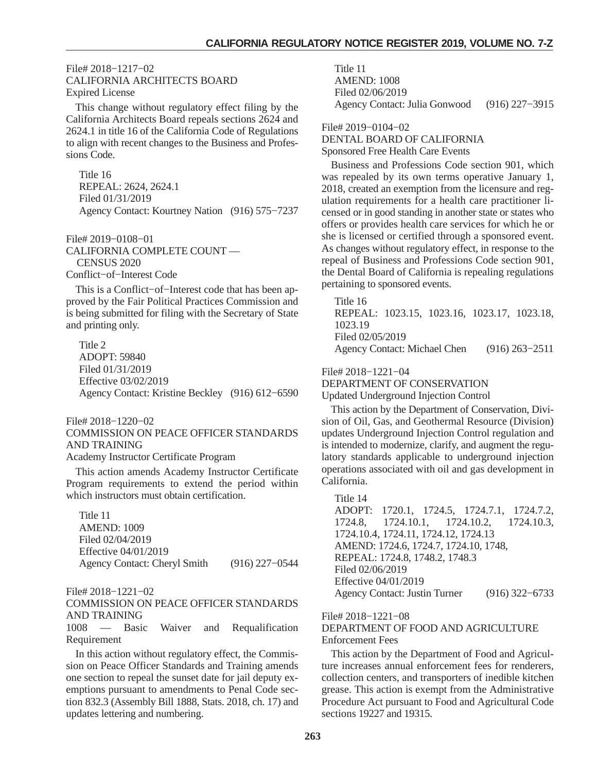#### File# 2018−1217−02 CALIFORNIA ARCHITECTS BOARD Expired License

This change without regulatory effect filing by the California Architects Board repeals sections 2624 and 2624.1 in title 16 of the California Code of Regulations to align with recent changes to the Business and Professions Code.

Title 16 REPEAL: 2624, 2624.1 Filed 01/31/2019 Agency Contact: Kourtney Nation (916) 575−7237

File# 2019−0108−01 CALIFORNIA COMPLETE COUNT — CENSUS 2020 Conflict−of−Interest Code

This is a Conflict−of−Interest code that has been approved by the Fair Political Practices Commission and is being submitted for filing with the Secretary of State and printing only.

Title 2 ADOPT: 59840 Filed 01/31/2019 Effective 03/02/2019 Agency Contact: Kristine Beckley (916) 612−6590

File# 2018−1220−02

COMMISSION ON PEACE OFFICER STANDARDS AND TRAINING

Academy Instructor Certificate Program

This action amends Academy Instructor Certificate Program requirements to extend the period within which instructors must obtain certification.

Title 11 AMEND: 1009 Filed 02/04/2019 Effective 04/01/2019 Agency Contact: Cheryl Smith (916) 227−0544

File# 2018−1221−02

COMMISSION ON PEACE OFFICER STANDARDS AND TRAINING

1008 — Basic Waiver and Requalification Requirement

In this action without regulatory effect, the Commission on Peace Officer Standards and Training amends one section to repeal the sunset date for jail deputy exemptions pursuant to amendments to Penal Code section 832.3 (Assembly Bill 1888, Stats. 2018, ch. 17) and updates lettering and numbering.

Title 11 AMEND: 1008 Filed 02/06/2019 Agency Contact: Julia Gonwood (916) 227−3915

File# 2019−0104−02 DENTAL BOARD OF CALIFORNIA Sponsored Free Health Care Events

Business and Professions Code section 901, which was repealed by its own terms operative January 1, 2018, created an exemption from the licensure and regulation requirements for a health care practitioner licensed or in good standing in another state or states who offers or provides health care services for which he or she is licensed or certified through a sponsored event. As changes without regulatory effect, in response to the repeal of Business and Professions Code section 901, the Dental Board of California is repealing regulations pertaining to sponsored events.

Title 16 REPEAL: 1023.15, 1023.16, 1023.17, 1023.18, 1023.19 Filed 02/05/2019 Agency Contact: Michael Chen (916) 263−2511

File# 2018−1221−04

DEPARTMENT OF CONSERVATION Updated Underground Injection Control

This action by the Department of Conservation, Division of Oil, Gas, and Geothermal Resource (Division) updates Underground Injection Control regulation and is intended to modernize, clarify, and augment the regulatory standards applicable to underground injection operations associated with oil and gas development in California.

Title 14 ADOPT: 1720.1, 1724.5, 1724.7.1, 1724.7.2, 1724.8, 1724.10.1, 1724.10.2, 1724.10.3, 1724.10.4, 1724.11, 1724.12, 1724.13 AMEND: 1724.6, 1724.7, 1724.10, 1748, REPEAL: 1724.8, 1748.2, 1748.3 Filed 02/06/2019 Effective 04/01/2019 Agency Contact: Justin Turner (916) 322−6733

File# 2018−1221−08

# DEPARTMENT OF FOOD AND AGRICULTURE Enforcement Fees

This action by the Department of Food and Agriculture increases annual enforcement fees for renderers, collection centers, and transporters of inedible kitchen grease. This action is exempt from the Administrative Procedure Act pursuant to Food and Agricultural Code sections 19227 and 19315.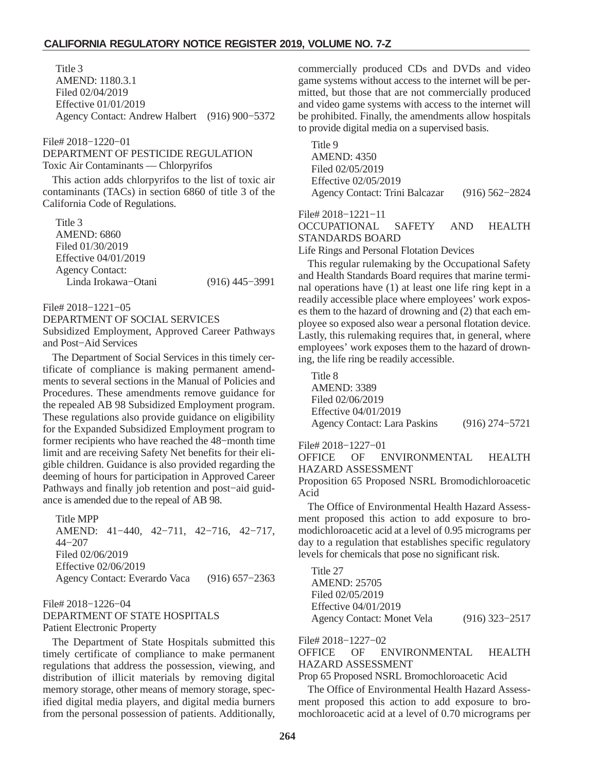Title 3 AMEND: 1180.3.1 Filed 02/04/2019 Effective 01/01/2019 Agency Contact: Andrew Halbert (916) 900−5372

#### File# 2018−1220−01

DEPARTMENT OF PESTICIDE REGULATION Toxic Air Contaminants — Chlorpyrifos

This action adds chlorpyrifos to the list of toxic air contaminants (TACs) in section 6860 of title 3 of the California Code of Regulations.

Title 3 AMEND: 6860 Filed 01/30/2019 Effective 04/01/2019 Agency Contact: Linda Irokawa−Otani (916) 445−3991

File# 2018−1221−05

DEPARTMENT OF SOCIAL SERVICES Subsidized Employment, Approved Career Pathways and Post−Aid Services

The Department of Social Services in this timely certificate of compliance is making permanent amendments to several sections in the Manual of Policies and Procedures. These amendments remove guidance for the repealed AB 98 Subsidized Employment program. These regulations also provide guidance on eligibility for the Expanded Subsidized Employment program to former recipients who have reached the 48−month time limit and are receiving Safety Net benefits for their eligible children. Guidance is also provided regarding the deeming of hours for participation in Approved Career Pathways and finally job retention and post−aid guidance is amended due to the repeal of AB 98.

Title MPP AMEND: 41−440, 42−711, 42−716, 42−717, 44−207 Filed 02/06/2019 Effective 02/06/2019 Agency Contact: Everardo Vaca (916) 657−2363

#### File# 2018−1226−04 DEPARTMENT OF STATE HOSPITALS Patient Electronic Property

The Department of State Hospitals submitted this timely certificate of compliance to make permanent regulations that address the possession, viewing, and distribution of illicit materials by removing digital memory storage, other means of memory storage, specified digital media players, and digital media burners from the personal possession of patients. Additionally, commercially produced CDs and DVDs and video game systems without access to the internet will be permitted, but those that are not commercially produced and video game systems with access to the internet will be prohibited. Finally, the amendments allow hospitals to provide digital media on a supervised basis.

Title 9 AMEND: 4350 Filed 02/05/2019 Effective 02/05/2019 Agency Contact: Trini Balcazar (916) 562−2824

File# 2018−1221−11

OCCUPATIONAL SAFETY AND HEALTH STANDARDS BOARD

Life Rings and Personal Flotation Devices

This regular rulemaking by the Occupational Safety and Health Standards Board requires that marine terminal operations have (1) at least one life ring kept in a readily accessible place where employees' work exposes them to the hazard of drowning and (2) that each employee so exposed also wear a personal flotation device. Lastly, this rulemaking requires that, in general, where employees' work exposes them to the hazard of drowning, the life ring be readily accessible.

Title 8 AMEND: 3389 Filed 02/06/2019 Effective 04/01/2019 Agency Contact: Lara Paskins (916) 274−5721

File# 2018−1227−01

OFFICE OF ENVIRONMENTAL HEALTH HAZARD ASSESSMENT

Proposition 65 Proposed NSRL Bromodichloroacetic Acid

The Office of Environmental Health Hazard Assessment proposed this action to add exposure to bromodichloroacetic acid at a level of 0.95 micrograms per day to a regulation that establishes specific regulatory levels for chemicals that pose no significant risk.

Title 27 AMEND: 25705 Filed 02/05/2019 Effective 04/01/2019 Agency Contact: Monet Vela (916) 323−2517

File# 2018−1227−02

OFFICE OF ENVIRONMENTAL HEALTH HAZARD ASSESSMENT

Prop 65 Proposed NSRL Bromochloroacetic Acid

The Office of Environmental Health Hazard Assessment proposed this action to add exposure to bromochloroacetic acid at a level of 0.70 micrograms per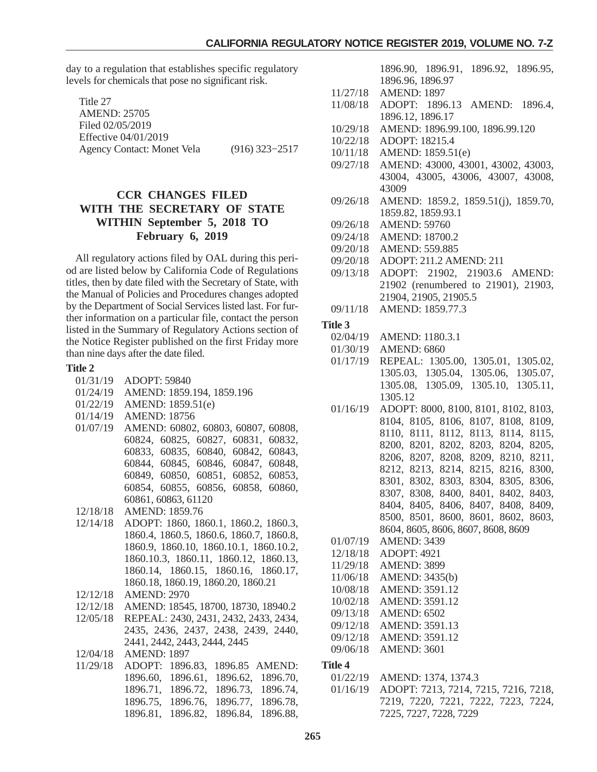<span id="page-30-0"></span>day to a regulation that establishes specific regulatory levels for chemicals that pose no significant risk.

| Title 27                          |                  |
|-----------------------------------|------------------|
| <b>AMEND: 25705</b>               |                  |
| Filed 02/05/2019                  |                  |
| Effective 04/01/2019              |                  |
| <b>Agency Contact: Monet Vela</b> | $(916)$ 323-2517 |

# **CCR CHANGES FILED WITH THE SECRETARY OF STATE WITHIN September 5, 2018 TO February 6, 2019**

All regulatory actions filed by OAL during this period are listed below by California Code of Regulations titles, then by date filed with the Secretary of State, with the Manual of Policies and Procedures changes adopted by the Department of Social Services listed last. For further information on a particular file, contact the person listed in the Summary of Regulatory Actions section of the Notice Register published on the first Friday more than nine days after the date filed.

# **Title 2**

| 01/31/19 | <b>ADOPT: 59840</b>                          |
|----------|----------------------------------------------|
| 01/24/19 | AMEND: 1859.194, 1859.196                    |
| 01/22/19 | AMEND: 1859.51(e)                            |
| 01/14/19 | <b>AMEND: 18756</b>                          |
| 01/07/19 | AMEND: 60802, 60803, 60807,<br>60808,        |
|          | 60824, 60825, 60827,<br>60831,<br>60832,     |
|          | 60833, 60835, 60840,<br>60842,<br>60843,     |
|          | 60844, 60845, 60846,<br>60847,<br>60848,     |
|          | 60849, 60850, 60851,<br>60852,<br>60853,     |
|          | 60854, 60855, 60856, 60858, 60860,           |
|          | 60861, 60863, 61120                          |
| 12/18/18 | <b>AMEND: 1859.76</b>                        |
| 12/14/18 | ADOPT: 1860, 1860.1, 1860.2, 1860.3,         |
|          | 1860.4, 1860.5, 1860.6, 1860.7, 1860.8,      |
|          | 1860.9, 1860.10, 1860.10.1, 1860.10.2,       |
|          | 1860.10.3, 1860.11, 1860.12, 1860.13,        |
|          | 1860.14, 1860.15, 1860.16, 1860.17,          |
|          | 1860.18, 1860.19, 1860.20, 1860.21           |
| 12/12/18 | <b>AMEND: 2970</b>                           |
| 12/12/18 | AMEND: 18545, 18700, 18730, 18940.2          |
| 12/05/18 | REPEAL: 2430, 2431, 2432, 2433, 2434,        |
|          | 2435, 2436, 2437, 2438, 2439, 2440,          |
|          | 2441, 2442, 2443, 2444, 2445                 |
| 12/04/18 | <b>AMEND: 1897</b>                           |
| 11/29/18 | ADOPT:<br>1896.85 AMEND:<br>1896.83,         |
|          | 1896.60,<br>1896.61,<br>1896.62,<br>1896.70, |
|          | 1896.71,<br>1896.72,<br>1896.73,<br>1896.74, |
|          | 1896.75,<br>1896.76,<br>1896.77,<br>1896.78, |
|          | 1896.82,<br>1896.84,<br>1896.88,<br>1896.81, |

1896.90, 1896.91, 1896.92, 1896.95, 1896.96, 1896.97

- 11/27/18 AMEND: 1897
- 11/08/18 ADOPT: 1896.13 AMEND: 1896.4, 1896.12, 1896.17
- 10/29/18 AMEND: 1896.99.100, 1896.99.120
- 10/22/18 ADOPT: 18215.4
- 10/11/18 AMEND: 1859.51(e)
- 09/27/18 AMEND: 43000, 43001, 43002, 43003, 43004, 43005, 43006, 43007, 43008, 43009
- 09/26/18 AMEND: 1859.2, 1859.51(j), 1859.70, 1859.82, 1859.93.1
- 09/26/18 AMEND: 59760
- 09/24/18 AMEND: 18700.2
- 09/20/18 AMEND: 559.885
- 09/20/18 ADOPT: 211.2 AMEND: 211
- 09/13/18 ADOPT: 21902, 21903.6 AMEND: 21902 (renumbered to 21901), 21903, 21904, 21905, 21905.5
- 09/11/18 AMEND: 1859.77.3

#### **Title 3**

- 02/04/19 AMEND: 1180.3.1
- 01/30/19 AMEND: 6860
- 01/17/19 REPEAL: 1305.00, 1305.01, 1305.02, 1305.03, 1305.04, 1305.06, 1305.07, 1305.08, 1305.09, 1305.10, 1305.11, 1305.12
- 01/16/19 ADOPT: 8000, 8100, 8101, 8102, 8103, 8104, 8105, 8106, 8107, 8108, 8109, 8110, 8111, 8112, 8113, 8114, 8115, 8200, 8201, 8202, 8203, 8204, 8205, 8206, 8207, 8208, 8209, 8210, 8211, 8212, 8213, 8214, 8215, 8216, 8300, 8301, 8302, 8303, 8304, 8305, 8306, 8307, 8308, 8400, 8401, 8402, 8403, 8404, 8405, 8406, 8407, 8408, 8409, 8500, 8501, 8600, 8601, 8602, 8603,
	- 8604, 8605, 8606, 8607, 8608, 8609
- 01/07/19 AMEND: 3439
- 12/18/18 ADOPT: 4921
- 11/29/18 AMEND: 3899 11/06/18 AMEND: 3435(b)
- 10/08/18 AMEND: 3591.12
- 10/02/18 AMEND: 3591.12
- 09/13/18 AMEND: 6502
- 09/12/18 AMEND: 3591.13
- 09/12/18 AMEND: 3591.12
- 09/06/18 AMEND: 3601

- 01/22/19 AMEND: 1374, 1374.3
- 01/16/19 ADOPT: 7213, 7214, 7215, 7216, 7218, 7219, 7220, 7221, 7222, 7223, 7224, 7225, 7227, 7228, 7229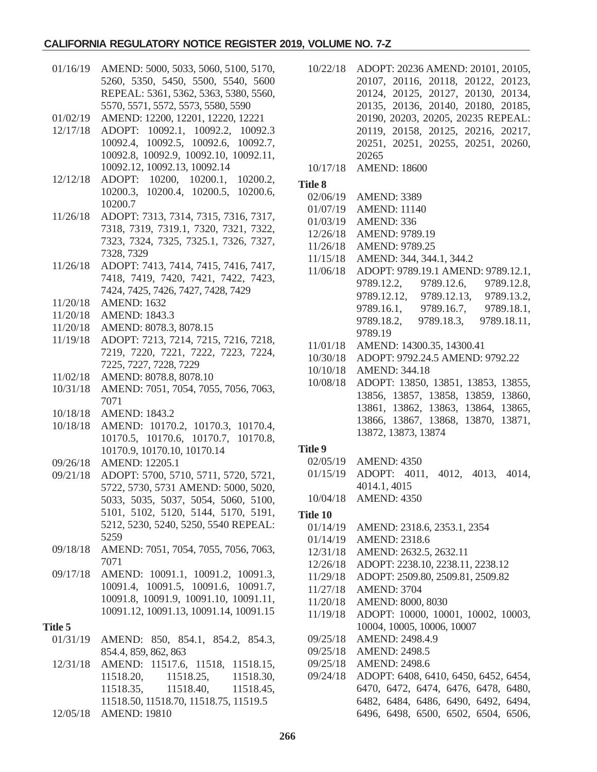#### **CALIFORNIA REGULATORY NOTICE REGISTER 2019, VOLUME NO. 7-Z**

- 01/16/19 AMEND: 5000, 5033, 5060, 5100, 5170, 5260, 5350, 5450, 5500, 5540, 5600 REPEAL: 5361, 5362, 5363, 5380, 5560, 5570, 5571, 5572, 5573, 5580, 5590
- 01/02/19 AMEND: 12200, 12201, 12220, 12221
- 12/17/18 ADOPT: 10092.1, 10092.2, 10092.3 10092.4, 10092.5, 10092.6, 10092.7, 10092.8, 10092.9, 10092.10, 10092.11, 10092.12, 10092.13, 10092.14
- 12/12/18 ADOPT: 10200, 10200.1, 10200.2, 10200.3, 10200.4, 10200.5, 10200.6, 10200.7
- 11/26/18 ADOPT: 7313, 7314, 7315, 7316, 7317, 7318, 7319, 7319.1, 7320, 7321, 7322, 7323, 7324, 7325, 7325.1, 7326, 7327, 7328, 7329
- 11/26/18 ADOPT: 7413, 7414, 7415, 7416, 7417, 7418, 7419, 7420, 7421, 7422, 7423, 7424, 7425, 7426, 7427, 7428, 7429
- 11/20/18 AMEND: 1632
- 11/20/18 AMEND: 1843.3
- 11/20/18 AMEND: 8078.3, 8078.15
- 11/19/18 ADOPT: 7213, 7214, 7215, 7216, 7218, 7219, 7220, 7221, 7222, 7223, 7224, 7225, 7227, 7228, 7229
- 11/02/18 AMEND: 8078.8, 8078.10
- 10/31/18 AMEND: 7051, 7054, 7055, 7056, 7063, 7071
- 10/18/18 AMEND: 1843.2
- 10/18/18 AMEND: 10170.2, 10170.3, 10170.4, 10170.5, 10170.6, 10170.7, 10170.8, 10170.9, 10170.10, 10170.14
- 09/26/18 AMEND: 12205.1
- 09/21/18 ADOPT: 5700, 5710, 5711, 5720, 5721, 5722, 5730, 5731 AMEND: 5000, 5020, 5033, 5035, 5037, 5054, 5060, 5100, 5101, 5102, 5120, 5144, 5170, 5191, 5212, 5230, 5240, 5250, 5540 REPEAL: 5259
- 09/18/18 AMEND: 7051, 7054, 7055, 7056, 7063, 7071
- 09/17/18 AMEND: 10091.1, 10091.2, 10091.3, 10091.4, 10091.5, 10091.6, 10091.7, 10091.8, 10091.9, 10091.10, 10091.11, 10091.12, 10091.13, 10091.14, 10091.15

#### **Title 5**

- 01/31/19 AMEND: 850, 854.1, 854.2, 854.3, 854.4, 859, 862, 863
- 12/31/18 AMEND: 11517.6, 11518, 11518.15, 11518.20, 11518.25, 11518.30, 11518.35, 11518.40, 11518.45, 11518.50, 11518.70, 11518.75, 11519.5
- 12/05/18 AMEND: 19810
- 10/22/18 ADOPT: 20236 AMEND: 20101, 20105, 20107, 20116, 20118, 20122, 20123, 20124, 20125, 20127, 20130, 20134, 20135, 20136, 20140, 20180, 20185, 20190, 20203, 20205, 20235 REPEAL: 20119, 20158, 20125, 20216, 20217, 20251, 20251, 20255, 20251, 20260, 20265
- 10/17/18 AMEND: 18600

#### **Title 8**

- 02/06/19 AMEND: 3389
- 01/07/19 AMEND: 11140
- 01/03/19 AMEND: 336
- 12/26/18 AMEND: 9789.19
- 11/26/18 AMEND: 9789.25
- 11/15/18 AMEND: 344, 344.1, 344.2
- 11/06/18 ADOPT: 9789.19.1 AMEND: 9789.12.1, 9789.12.2, 9789.12.6, 9789.12.8, 9789.12.12, 9789.12.13, 9789.13.2, 9789.16.1, 9789.16.7, 9789.18.1, 9789.18.2, 9789.18.3, 9789.18.11, 9789.19
- 11/01/18 AMEND: 14300.35, 14300.41
- 10/30/18 ADOPT: 9792.24.5 AMEND: 9792.22
- 10/10/18 AMEND: 344.18
- 10/08/18 ADOPT: 13850, 13851, 13853, 13855, 13856, 13857, 13858, 13859, 13860, 13861, 13862, 13863, 13864, 13865, 13866, 13867, 13868, 13870, 13871, 13872, 13873, 13874

#### **Title 9**

- 02/05/19 AMEND: 4350 01/15/19 ADOPT: 4011, 4012, 4013, 4014, 4014.1, 4015
- 10/04/18 AMEND: 4350

# **Title 10**

01/14/19 AMEND: 2318.6, 2353.1, 2354 01/14/19 AMEND: 2318.6 12/31/18 AMEND: 2632.5, 2632.11 12/26/18 ADOPT: 2238.10, 2238.11, 2238.12 11/29/18 ADOPT: 2509.80, 2509.81, 2509.82 11/27/18 AMEND: 3704 11/20/18 AMEND: 8000, 8030 11/19/18 ADOPT: 10000, 10001, 10002, 10003, 10004, 10005, 10006, 10007 09/25/18 AMEND: 2498.4.9 09/25/18 AMEND: 2498.5 09/25/18 AMEND: 2498.6 09/24/18 ADOPT: 6408, 6410, 6450, 6452, 6454, 6470, 6472, 6474, 6476, 6478, 6480, 6482, 6484, 6486, 6490, 6492, 6494, 6496, 6498, 6500, 6502, 6504, 6506,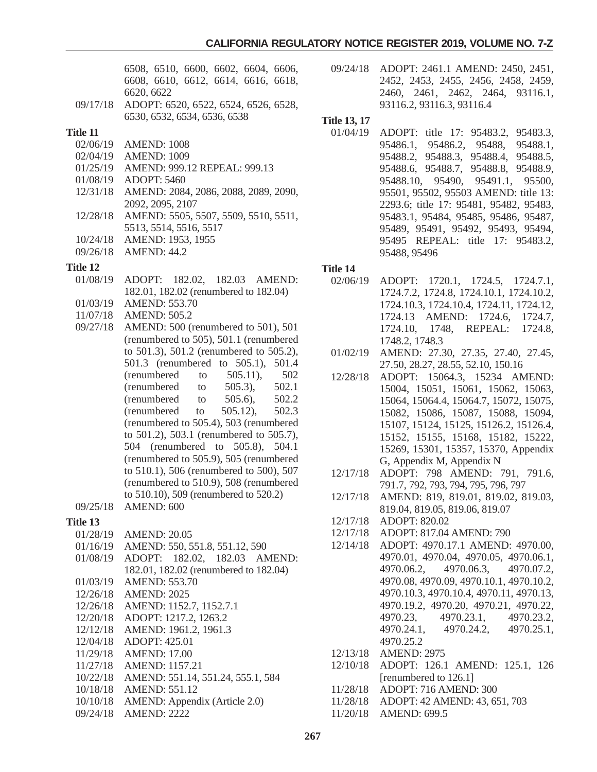6508, 6510, 6600, 6602, 6604, 6606, 6608, 6610, 6612, 6614, 6616, 6618, 6620, 6622

09/17/18 ADOPT: 6520, 6522, 6524, 6526, 6528, 6530, 6532, 6534, 6536, 6538

### **Title 11**

- 02/06/19 AMEND: 1008
- 02/04/19 AMEND: 1009
- 01/25/19 AMEND: 999.12 REPEAL: 999.13
- 01/08/19 ADOPT: 5460
- 12/31/18 AMEND: 2084, 2086, 2088, 2089, 2090, 2092, 2095, 2107
- 12/28/18 AMEND: 5505, 5507, 5509, 5510, 5511, 5513, 5514, 5516, 5517
- 10/24/18 AMEND: 1953, 1955
- 09/26/18 AMEND: 44.2

### **Title 12**

- 01/08/19 ADOPT: 182.02, 182.03 AMEND: 182.01, 182.02 (renumbered to 182.04) 01/03/19 AMEND: 553.70
- 11/07/18 AMEND: 505.2
- 09/27/18 AMEND: 500 (renumbered to 501), 501 (renumbered to 505), 501.1 (renumbered to 501.3), 501.2 (renumbered to 505.2), 501.3 (renumbered to 505.1), 501.4 (renumbered to 505.11), 502 (renumbered to 505.3), 502.1 (renumbered to 505.6), 502.2 (renumbered to 505.12), 502.3 (renumbered to 505.4), 503 (renumbered to 501.2), 503.1 (renumbered to 505.7), 504 (renumbered to 505.8), 504.1 (renumbered to 505.9), 505 (renumbered to 510.1), 506 (renumbered to 500), 507 (renumbered to 510.9), 508 (renumbered to 510.10), 509 (renumbered to 520.2)

09/25/18 AMEND: 600

# **Title 13**

- 01/28/19 AMEND: 20.05
- 01/16/19 AMEND: 550, 551.8, 551.12, 590
- 01/08/19 ADOPT: 182.02, 182.03 AMEND: 182.01, 182.02 (renumbered to 182.04)
- 01/03/19 AMEND: 553.70
- 12/26/18 AMEND: 2025
- 12/26/18 AMEND: 1152.7, 1152.7.1
- 12/20/18 ADOPT: 1217.2, 1263.2
- 12/12/18 AMEND: 1961.2, 1961.3
- 12/04/18 ADOPT: 425.01
- 11/29/18 AMEND: 17.00
- 11/27/18 AMEND: 1157.21
- 10/22/18 AMEND: 551.14, 551.24, 555.1, 584
- 10/18/18 AMEND: 551.12
- 10/10/18 AMEND: Appendix (Article 2.0)
- 09/24/18 AMEND: 2222

09/24/18 ADOPT: 2461.1 AMEND: 2450, 2451, 2452, 2453, 2455, 2456, 2458, 2459, 2460, 2461, 2462, 2464, 93116.1, 93116.2, 93116.3, 93116.4

# **Title 13, 17**

01/04/19 ADOPT: title 17: 95483.2, 95483.3, 95486.1, 95486.2, 95488, 95488.1, 95488.2, 95488.3, 95488.4, 95488.5, 95488.6, 95488.7, 95488.8, 95488.9, 95488.10, 95490, 95491.1, 95500, 95501, 95502, 95503 AMEND: title 13: 2293.6; title 17: 95481, 95482, 95483, 95483.1, 95484, 95485, 95486, 95487, 95489, 95491, 95492, 95493, 95494, 95495 REPEAL: title 17: 95483.2, 95488, 95496

- 02/06/19 ADOPT: 1720.1, 1724.5, 1724.7.1, 1724.7.2, 1724.8, 1724.10.1, 1724.10.2, 1724.10.3, 1724.10.4, 1724.11, 1724.12, 1724.13 AMEND: 1724.6, 1724.7, 1724.10, 1748, REPEAL: 1724.8, 1748.2, 1748.3
- 01/02/19 AMEND: 27.30, 27.35, 27.40, 27.45, 27.50, 28.27, 28.55, 52.10, 150.16
- 12/28/18 ADOPT: 15064.3, 15234 AMEND: 15004, 15051, 15061, 15062, 15063, 15064, 15064.4, 15064.7, 15072, 15075, 15082, 15086, 15087, 15088, 15094, 15107, 15124, 15125, 15126.2, 15126.4, 15152, 15155, 15168, 15182, 15222, 15269, 15301, 15357, 15370, Appendix G, Appendix M, Appendix N
- 12/17/18 ADOPT: 798 AMEND: 791, 791.6, 791.7, 792, 793, 794, 795, 796, 797
- 12/17/18 AMEND: 819, 819.01, 819.02, 819.03, 819.04, 819.05, 819.06, 819.07
- 12/17/18 ADOPT: 820.02
- 12/17/18 ADOPT: 817.04 AMEND: 790
- 12/14/18 ADOPT: 4970.17.1 AMEND: 4970.00, 4970.01, 4970.04, 4970.05, 4970.06.1, 4970.06.2, 4970.06.3, 4970.07.2, 4970.08, 4970.09, 4970.10.1, 4970.10.2, 4970.10.3, 4970.10.4, 4970.11, 4970.13, 4970.19.2, 4970.20, 4970.21, 4970.22, 4970.23, 4970.23.1, 4970.23.2, 4970.24.1, 4970.24.2, 4970.25.1, 4970.25.2
- 12/13/18 AMEND: 2975
- 12/10/18 ADOPT: 126.1 AMEND: 125.1, 126 [renumbered to 126.1]
- 11/28/18 ADOPT: 716 AMEND: 300
- 11/28/18 ADOPT: 42 AMEND: 43, 651, 703
- 11/20/18 AMEND: 699.5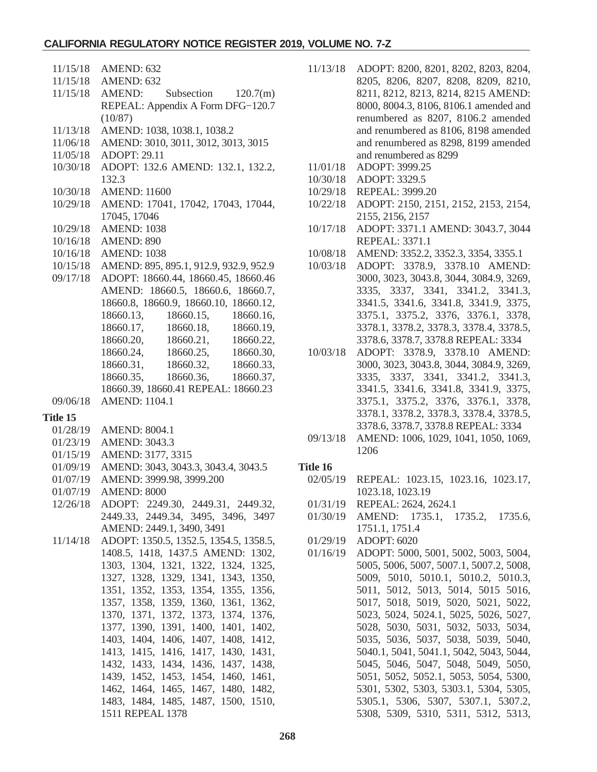### **CALIFORNIA REGULATORY NOTICE REGISTER 2019, VOLUME NO. 7-Z**

| 11/15/18 | AMEND: 632                                                                                  |
|----------|---------------------------------------------------------------------------------------------|
|          | 11/15/18 AMEND: 632                                                                         |
|          | $11/15/18$ AMEND: Subsection $120.7(m)$                                                     |
|          | REPEAL: Appendix A Form DFG-120.7                                                           |
|          | (10/87)                                                                                     |
| 11/13/18 | AMEND: 1038, 1038.1, 1038.2                                                                 |
| 11/06/18 | AMEND: 3010, 3011, 3012, 3013, 3015                                                         |
| 11/05/18 | <b>ADOPT: 29.11</b>                                                                         |
| 10/30/18 | ADOPT: 132.6 AMEND: 132.1, 132.2,                                                           |
|          | 132.3                                                                                       |
| 10/30/18 | <b>AMEND: 11600</b>                                                                         |
| 10/29/18 | AMEND: 17041, 17042, 17043, 17044,                                                          |
|          | 17045, 17046                                                                                |
| 10/29/18 | <b>AMEND: 1038</b>                                                                          |
| 10/16/18 | AMEND: 890                                                                                  |
| 10/16/18 | <b>AMEND: 1038</b>                                                                          |
| 10/15/18 | AMEND: 895, 895.1, 912.9, 932.9, 952.9                                                      |
| 09/17/18 | ADOPT: 18660.44, 18660.45, 18660.46                                                         |
|          | AMEND: 18660.5, 18660.6, 18660.7,                                                           |
|          | 18660.8, 18660.9, 18660.10, 18660.12,                                                       |
|          | 18660.13, 18660.15, 18660.16,                                                               |
|          | 18660.17, 18660.18, 18660.19,                                                               |
|          |                                                                                             |
|          | $18660.20, 18660.21, 18660.22, 18660.24, 18660.25, 18660.30, 18660.35, 18660.36, 18660.37,$ |
|          |                                                                                             |
|          |                                                                                             |
|          | 18660.39, 18660.41 REPEAL: 18660.23                                                         |
| 09/06/18 | <b>AMEND: 1104.1</b>                                                                        |
| Title 15 |                                                                                             |
| 01/28/19 | <b>AMEND: 8004.1</b>                                                                        |
| 01/23/19 | <b>AMEND: 3043.3</b>                                                                        |
| 01/15/19 | AMEND: 3177, 3315                                                                           |
|          |                                                                                             |
|          |                                                                                             |
| 01/09/19 | AMEND: 3043, 3043.3, 3043.4, 3043.5                                                         |
| 01/07/19 | AMEND: 3999.98, 3999.200                                                                    |
| 01/07/19 | <b>AMEND: 8000</b>                                                                          |
| 12/26/18 | ADOPT: 2249.30, 2449.31, 2449.32,                                                           |
|          | 2449.33, 2449.34, 3495, 3496, 3497                                                          |
|          | AMEND: 2449.1, 3490, 3491                                                                   |
| 11/14/18 | ADOPT: 1350.5, 1352.5, 1354.5, 1358.5,                                                      |
|          | 1408.5, 1418, 1437.5 AMEND: 1302,                                                           |
|          | 1303, 1304, 1321, 1322, 1324, 1325,                                                         |
|          | 1327, 1328, 1329, 1341, 1343, 1350,                                                         |
|          | 1351, 1352, 1353, 1354, 1355, 1356,                                                         |
|          | 1357, 1358, 1359, 1360, 1361, 1362,                                                         |
|          | 1370, 1371, 1372, 1373, 1374, 1376,                                                         |
|          | 1377, 1390, 1391, 1400, 1401, 1402,                                                         |
|          | 1403, 1404, 1406, 1407, 1408, 1412,                                                         |
|          | 1413, 1415, 1416, 1417, 1430, 1431,                                                         |
|          | 1432, 1433, 1434, 1436, 1437, 1438,                                                         |
|          | 1439, 1452, 1453, 1454, 1460, 1461,                                                         |
|          | 1462, 1464, 1465, 1467, 1480, 1482,<br>1483, 1484, 1485, 1487, 1500, 1510,                  |

| 11/13/18 | ADOPT: 8200, 8201, 8202, 8203, 8204,   |
|----------|----------------------------------------|
|          | 8205, 8206, 8207, 8208, 8209, 8210,    |
|          | 8211, 8212, 8213, 8214, 8215 AMEND:    |
|          | 8000, 8004.3, 8106, 8106.1 amended and |
|          | renumbered as 8207, 8106.2 amended     |
|          | and renumbered as 8106, 8198 amended   |
|          | and renumbered as 8298, 8199 amended   |
|          | and renumbered as 8299                 |

- 11/01/18 ADOPT: 3999.25
- 10/30/18 ADOPT: 3329.5
- 10/29/18 REPEAL: 3999.20
- 10/22/18 ADOPT: 2150, 2151, 2152, 2153, 2154, 2155, 2156, 2157
- 10/17/18 ADOPT: 3371.1 AMEND: 3043.7, 3044 REPEAL: 3371.1
- 10/08/18 AMEND: 3352.2, 3352.3, 3354, 3355.1
- 10/03/18 ADOPT: 3378.9, 3378.10 AMEND: 3000, 3023, 3043.8, 3044, 3084.9, 3269, 3335, 3337, 3341, 3341.2, 3341.3, 3341.5, 3341.6, 3341.8, 3341.9, 3375, 3375.1, 3375.2, 3376, 3376.1, 3378, 3378.1, 3378.2, 3378.3, 3378.4, 3378.5, 3378.6, 3378.7, 3378.8 REPEAL: 3334
- 10/03/18 ADOPT: 3378.9, 3378.10 AMEND: 3000, 3023, 3043.8, 3044, 3084.9, 3269, 3335, 3337, 3341, 3341.2, 3341.3, 3341.5, 3341.6, 3341.8, 3341.9, 3375, 3375.1, 3375.2, 3376, 3376.1, 3378, 3378.1, 3378.2, 3378.3, 3378.4, 3378.5, 3378.6, 3378.7, 3378.8 REPEAL: 3334
- 09/13/18 AMEND: 1006, 1029, 1041, 1050, 1069, 1206

- 02/05/19 REPEAL: 1023.15, 1023.16, 1023.17, 1023.18, 1023.19
- 01/31/19 REPEAL: 2624, 2624.1
- 01/30/19 AMEND: 1735.1, 1735.2, 1735.6, 1751.1, 1751.4
- 01/29/19 ADOPT: 6020
- 01/16/19 ADOPT: 5000, 5001, 5002, 5003, 5004, 5005, 5006, 5007, 5007.1, 5007.2, 5008, 5009, 5010, 5010.1, 5010.2, 5010.3, 5011, 5012, 5013, 5014, 5015 5016, 5017, 5018, 5019, 5020, 5021, 5022, 5023, 5024, 5024.1, 5025, 5026, 5027, 5028, 5030, 5031, 5032, 5033, 5034, 5035, 5036, 5037, 5038, 5039, 5040, 5040.1, 5041, 5041.1, 5042, 5043, 5044, 5045, 5046, 5047, 5048, 5049, 5050, 5051, 5052, 5052.1, 5053, 5054, 5300, 5301, 5302, 5303, 5303.1, 5304, 5305, 5305.1, 5306, 5307, 5307.1, 5307.2, 5308, 5309, 5310, 5311, 5312, 5313,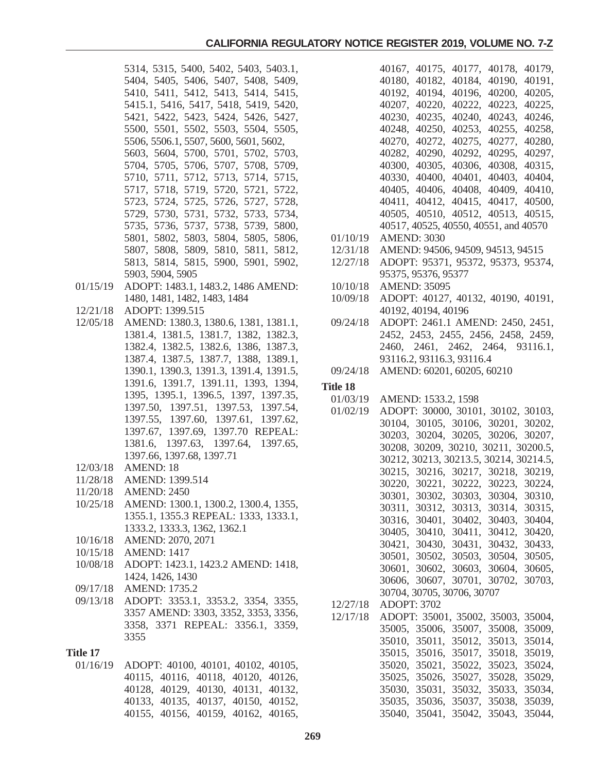- 5314, 5315, 5400, 5402, 5403, 5403.1, 5404, 5405, 5406, 5407, 5408, 5409, 5410, 5411, 5412, 5413, 5414, 5415, 5415.1, 5416, 5417, 5418, 5419, 5420, 5421, 5422, 5423, 5424, 5426, 5427, 5500, 5501, 5502, 5503, 5504, 5505, 5506, 5506.1, 5507, 5600, 5601, 5602, 5603, 5604, 5700, 5701, 5702, 5703, 5704, 5705, 5706, 5707, 5708, 5709, 5710, 5711, 5712, 5713, 5714, 5715, 5717, 5718, 5719, 5720, 5721, 5722, 5723, 5724, 5725, 5726, 5727, 5728, 5729, 5730, 5731, 5732, 5733, 5734, 5735, 5736, 5737, 5738, 5739, 5800, 5801, 5802, 5803, 5804, 5805, 5806, 5807, 5808, 5809, 5810, 5811, 5812, 5813, 5814, 5815, 5900, 5901, 5902, 5903, 5904, 5905
- 01/15/19 ADOPT: 1483.1, 1483.2, 1486 AMEND: 1480, 1481, 1482, 1483, 1484
- 12/21/18 ADOPT: 1399.515
- 12/05/18 AMEND: 1380.3, 1380.6, 1381, 1381.1, 1381.4, 1381.5, 1381.7, 1382, 1382.3, 1382.4, 1382.5, 1382.6, 1386, 1387.3, 1387.4, 1387.5, 1387.7, 1388, 1389.1, 1390.1, 1390.3, 1391.3, 1391.4, 1391.5, 1391.6, 1391.7, 1391.11, 1393, 1394, 1395, 1395.1, 1396.5, 1397, 1397.35, 1397.50, 1397.51, 1397.53, 1397.54, 1397.55, 1397.60, 1397.61, 1397.62, 1397.67, 1397.69, 1397.70 REPEAL: 1381.6, 1397.63, 1397.64, 1397.65, 1397.66, 1397.68, 1397.71
- 12/03/18 AMEND: 18
- 11/28/18 AMEND: 1399.514
- 11/20/18 AMEND: 2450
- 10/25/18 AMEND: 1300.1, 1300.2, 1300.4, 1355, 1355.1, 1355.3 REPEAL: 1333, 1333.1, 1333.2, 1333.3, 1362, 1362.1
- 10/16/18 AMEND: 2070, 2071
- 10/15/18 AMEND: 1417
- 10/08/18 ADOPT: 1423.1, 1423.2 AMEND: 1418, 1424, 1426, 1430
- 09/17/18 AMEND: 1735.2
- 09/13/18 ADOPT: 3353.1, 3353.2, 3354, 3355, 3357 AMEND: 3303, 3352, 3353, 3356, 3358, 3371 REPEAL: 3356.1, 3359, 3355

#### **Title 17**

01/16/19 ADOPT: 40100, 40101, 40102, 40105, 40115, 40116, 40118, 40120, 40126, 40128, 40129, 40130, 40131, 40132, 40133, 40135, 40137, 40150, 40152, 40155, 40156, 40159, 40162, 40165,

40167, 40175, 40177, 40178, 40179, 40180, 40182, 40184, 40190, 40191, 40192, 40194, 40196, 40200, 40205, 40207, 40220, 40222, 40223, 40225, 40230, 40235, 40240, 40243, 40246, 40248, 40250, 40253, 40255, 40258, 40270, 40272, 40275, 40277, 40280, 40282, 40290, 40292, 40295, 40297, 40300, 40305, 40306, 40308, 40315, 40330, 40400, 40401, 40403, 40404, 40405, 40406, 40408, 40409, 40410, 40411, 40412, 40415, 40417, 40500, 40505, 40510, 40512, 40513, 40515, 40517, 40525, 40550, 40551, and 40570

- 01/10/19 AMEND: 3030
- 12/31/18 AMEND: 94506, 94509, 94513, 94515
- 12/27/18 ADOPT: 95371, 95372, 95373, 95374, 95375, 95376, 95377
- 10/10/18 AMEND: 35095
- 10/09/18 ADOPT: 40127, 40132, 40190, 40191, 40192, 40194, 40196
- 09/24/18 ADOPT: 2461.1 AMEND: 2450, 2451, 2452, 2453, 2455, 2456, 2458, 2459, 2460, 2461, 2462, 2464, 93116.1, 93116.2, 93116.3, 93116.4
- 09/24/18 AMEND: 60201, 60205, 60210

- 01/03/19 AMEND: 1533.2, 1598
- 01/02/19 ADOPT: 30000, 30101, 30102, 30103, 30104, 30105, 30106, 30201, 30202, 30203, 30204, 30205, 30206, 30207, 30208, 30209, 30210, 30211, 30200.5, 30212, 30213, 30213.5, 30214, 30214.5, 30215, 30216, 30217, 30218, 30219, 30220, 30221, 30222, 30223, 30224, 30301, 30302, 30303, 30304, 30310, 30311, 30312, 30313, 30314, 30315, 30316, 30401, 30402, 30403, 30404, 30405, 30410, 30411, 30412, 30420, 30421, 30430, 30431, 30432, 30433, 30501, 30502, 30503, 30504, 30505, 30601, 30602, 30603, 30604, 30605, 30606, 30607, 30701, 30702, 30703, 30704, 30705, 30706, 30707 12/27/18 ADOPT: 3702
- 12/17/18 ADOPT: 35001, 35002, 35003, 35004, 35005, 35006, 35007, 35008, 35009, 35010, 35011, 35012, 35013, 35014,
	- 35015, 35016, 35017, 35018, 35019, 35020, 35021, 35022, 35023, 35024, 35025, 35026, 35027, 35028, 35029, 35030, 35031, 35032, 35033, 35034, 35035, 35036, 35037, 35038, 35039, 35040, 35041, 35042, 35043, 35044,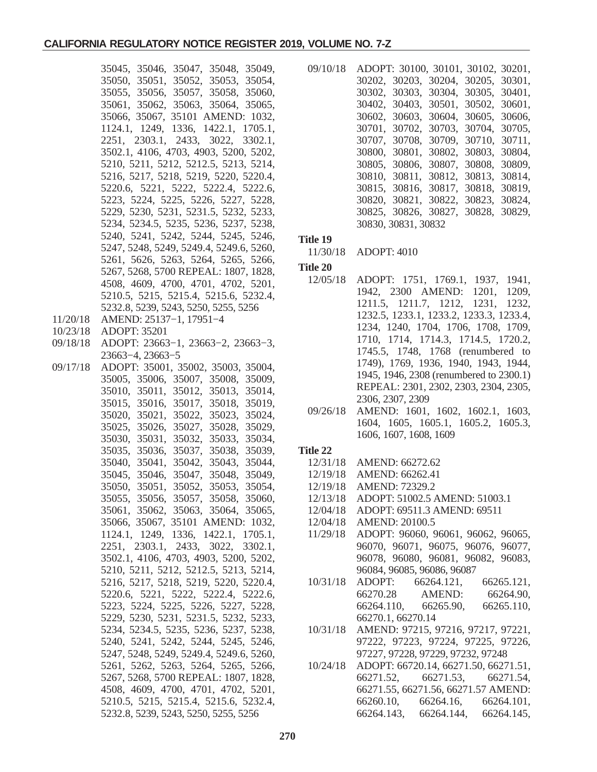35045, 35046, 35047, 35048, 35049, 35050, 35051, 35052, 35053, 35054, 35055, 35056, 35057, 35058, 35060, 35061, 35062, 35063, 35064, 35065, 35066, 35067, 35101 AMEND: 1032, 1124.1, 1249, 1336, 1422.1, 1705.1, 2251, 2303.1, 2433, 3022, 3302.1, 3502.1, 4106, 4703, 4903, 5200, 5202, 5210, 5211, 5212, 5212.5, 5213, 5214, 5216, 5217, 5218, 5219, 5220, 5220.4, 5220.6, 5221, 5222, 5222.4, 5222.6, 5223, 5224, 5225, 5226, 5227, 5228, 5229, 5230, 5231, 5231.5, 5232, 5233, 5234, 5234.5, 5235, 5236, 5237, 5238, 5240, 5241, 5242, 5244, 5245, 5246, 5247, 5248, 5249, 5249.4, 5249.6, 5260, 5261, 5626, 5263, 5264, 5265, 5266, 5267, 5268, 5700 REPEAL: 1807, 1828, 4508, 4609, 4700, 4701, 4702, 5201, 5210.5, 5215, 5215.4, 5215.6, 5232.4, 5232.8, 5239, 5243, 5250, 5255, 5256 11/20/18 AMEND: 25137−1, 17951−4 10/23/18 ADOPT: 35201 09/18/18 ADOPT: 23663−1, 23663−2, 23663−3, 23663−4, 23663−5 09/17/18 ADOPT: 35001, 35002, 35003, 35004, 35005, 35006, 35007, 35008, 35009, 35010, 35011, 35012, 35013, 35014, 35015, 35016, 35017, 35018, 35019, 35020, 35021, 35022, 35023, 35024, 35025, 35026, 35027, 35028, 35029, 35030, 35031, 35032, 35033, 35034, 35035, 35036, 35037, 35038, 35039, 35040, 35041, 35042, 35043, 35044, 35045, 35046, 35047, 35048, 35049, 35050, 35051, 35052, 35053, 35054, 35055, 35056, 35057, 35058, 35060, 35061, 35062, 35063, 35064, 35065, 35066, 35067, 35101 AMEND: 1032, 1124.1, 1249, 1336, 1422.1, 1705.1, 2251, 2303.1, 2433, 3022, 3302.1, 3502.1, 4106, 4703, 4903, 5200, 5202, 5210, 5211, 5212, 5212.5, 5213, 5214, 5216, 5217, 5218, 5219, 5220, 5220.4, 5220.6, 5221, 5222, 5222.4, 5222.6, 5223, 5224, 5225, 5226, 5227, 5228, 5229, 5230, 5231, 5231.5, 5232, 5233, 5234, 5234.5, 5235, 5236, 5237, 5238, 5240, 5241, 5242, 5244, 5245, 5246, 5247, 5248, 5249, 5249.4, 5249.6, 5260, 5261, 5262, 5263, 5264, 5265, 5266, 5267, 5268, 5700 REPEAL: 1807, 1828, 4508, 4609, 4700, 4701, 4702, 5201, 5210.5, 5215, 5215.4, 5215.6, 5232.4, 5232.8, 5239, 5243, 5250, 5255, 5256

09/10/18 ADOPT: 30100, 30101, 30102, 30201, 30202, 30203, 30204, 30205, 30301, 30302, 30303, 30304, 30305, 30401, 30402, 30403, 30501, 30502, 30601, 30602, 30603, 30604, 30605, 30606, 30701, 30702, 30703, 30704, 30705, 30707, 30708, 30709, 30710, 30711, 30800, 30801, 30802, 30803, 30804, 30805, 30806, 30807, 30808, 30809, 30810, 30811, 30812, 30813, 30814, 30815, 30816, 30817, 30818, 30819, 30820, 30821, 30822, 30823, 30824, 30825, 30826, 30827, 30828, 30829, 30830, 30831, 30832

#### **Title 19**

11/30/18 ADOPT: 4010

#### **Title 20**

- 12/05/18 ADOPT: 1751, 1769.1, 1937, 1941, 1942, 2300 AMEND: 1201, 1209, 1211.5, 1211.7, 1212, 1231, 1232, 1232.5, 1233.1, 1233.2, 1233.3, 1233.4, 1234, 1240, 1704, 1706, 1708, 1709, 1710, 1714, 1714.3, 1714.5, 1720.2, 1745.5, 1748, 1768 (renumbered to 1749), 1769, 1936, 1940, 1943, 1944, 1945, 1946, 2308 (renumbered to 2300.1) REPEAL: 2301, 2302, 2303, 2304, 2305, 2306, 2307, 2309
- 09/26/18 AMEND: 1601, 1602, 1602.1, 1603, 1604, 1605, 1605.1, 1605.2, 1605.3, 1606, 1607, 1608, 1609

- 12/31/18 AMEND: 66272.62
- 12/19/18 AMEND: 66262.41
- 12/19/18 AMEND: 72329.2
- 12/13/18 ADOPT: 51002.5 AMEND: 51003.1
- 12/04/18 ADOPT: 69511.3 AMEND: 69511
- 12/04/18 AMEND: 20100.5
- 11/29/18 ADOPT: 96060, 96061, 96062, 96065, 96070, 96071, 96075, 96076, 96077, 96078, 96080, 96081, 96082, 96083, 96084, 96085, 96086, 96087
- 10/31/18 ADOPT: 66264.121, 66265.121, 66270.28 AMEND: 66264.90, 66264.110, 66265.90, 66265.110, 66270.1, 66270.14
- 10/31/18 AMEND: 97215, 97216, 97217, 97221, 97222, 97223, 97224, 97225, 97226, 97227, 97228, 97229, 97232, 97248
- 10/24/18 ADOPT: 66720.14, 66271.50, 66271.51, 66271.52, 66271.53, 66271.54, 66271.55, 66271.56, 66271.57 AMEND: 66260.10, 66264.16, 66264.101, 66264.143, 66264.144, 66264.145,